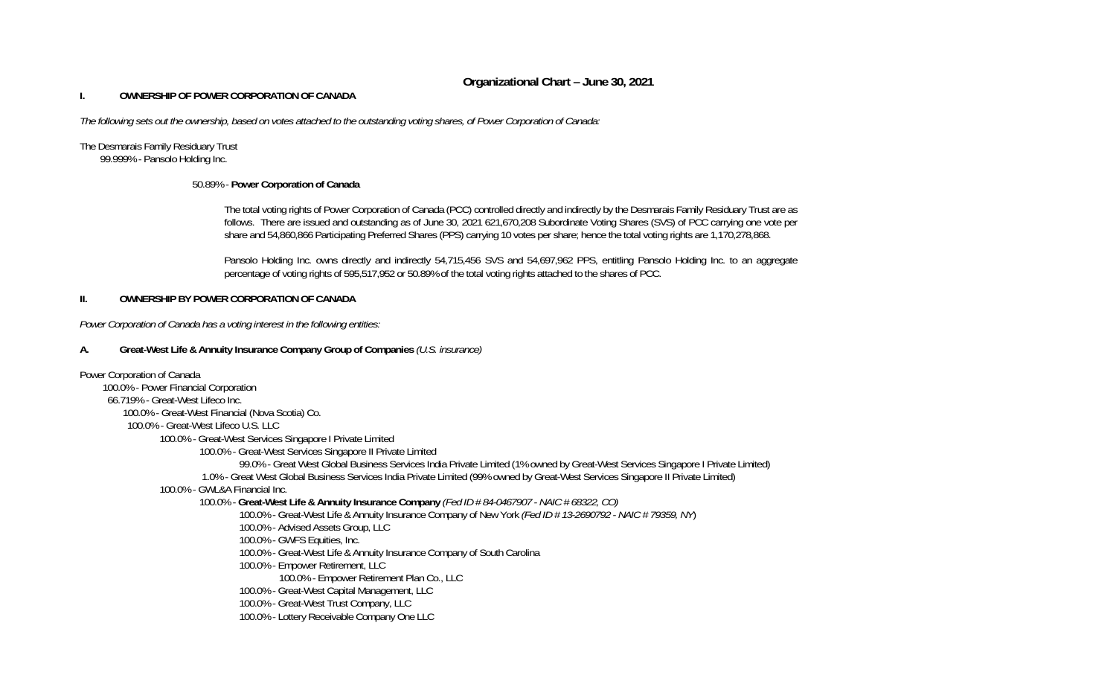## **Organizational Chart – June 30, 2021**

### **I. OWNERSHIP OF POWER CORPORATION OF CANADA**

*The following sets out the ownership, based on votes attached to the outstanding voting shares, of Power Corporation of Canada:*

# The Desmarais Family Residuary Trust

99.999% - Pansolo Holding Inc.

## 50.89% - **Power Corporation of Canada**

The total voting rights of Power Corporation of Canada (PCC) controlled directly and indirectly by the Desmarais Family Residuary Trust are as follows. There are issued and outstanding as of June 30, 2021 621,670,208 Subordinate Voting Shares (SVS) of PCC carrying one vote per share and 54,860,866 Participating Preferred Shares (PPS) carrying 10 votes per share; hence the total voting rights are 1,170,278,868.

Pansolo Holding Inc. owns directly and indirectly 54,715,456 SVS and 54,697,962 PPS, entitling Pansolo Holding Inc. to an aggregate percentage of voting rights of 595,517,952 or 50.89% of the total voting rights attached to the shares of PCC.

## **II. OWNERSHIP BY POWER CORPORATION OF CANADA**

*Power Corporation of Canada has a voting interest in the following entities:* 

## **A. Great-West Life & Annuity Insurance Company Group of Companies** *(U.S. insurance)*

Power Corporation of Canada 100.0% - Power Financial Corporation 66.719% - Great-West Lifeco Inc. 100.0% - Great-West Financial (Nova Scotia) Co. 100.0% - Great-West Lifeco U.S. LLC 100.0% - Great-West Services Singapore I Private Limited 100.0% - Great-West Services Singapore II Private Limited 99.0% - Great West Global Business Services India Private Limited (1% owned by Great-West Services Singapore I Private Limited) 1.0% - Great West Global Business Services India Private Limited (99% owned by Great-West Services Singapore II Private Limited) 100.0% - GWL&A Financial Inc. 100.0% - **Great-West Life & Annuity Insurance Company** *(Fed ID # 84-0467907 - NAIC # 68322, CO)*  100.0% - Great-West Life & Annuity Insurance Company of New York *(Fed ID # 13-2690792 - NAIC # 79359, NY*) 100.0% - Advised Assets Group, LLC 100.0% - GWFS Equities, Inc. 100.0% - Great-West Life & Annuity Insurance Company of South Carolina 100.0% - Empower Retirement, LLC 100.0% - Empower Retirement Plan Co., LLC 100.0% - Great-West Capital Management, LLC 100.0% - Great-West Trust Company, LLC 100.0% - Lottery Receivable Company One LLC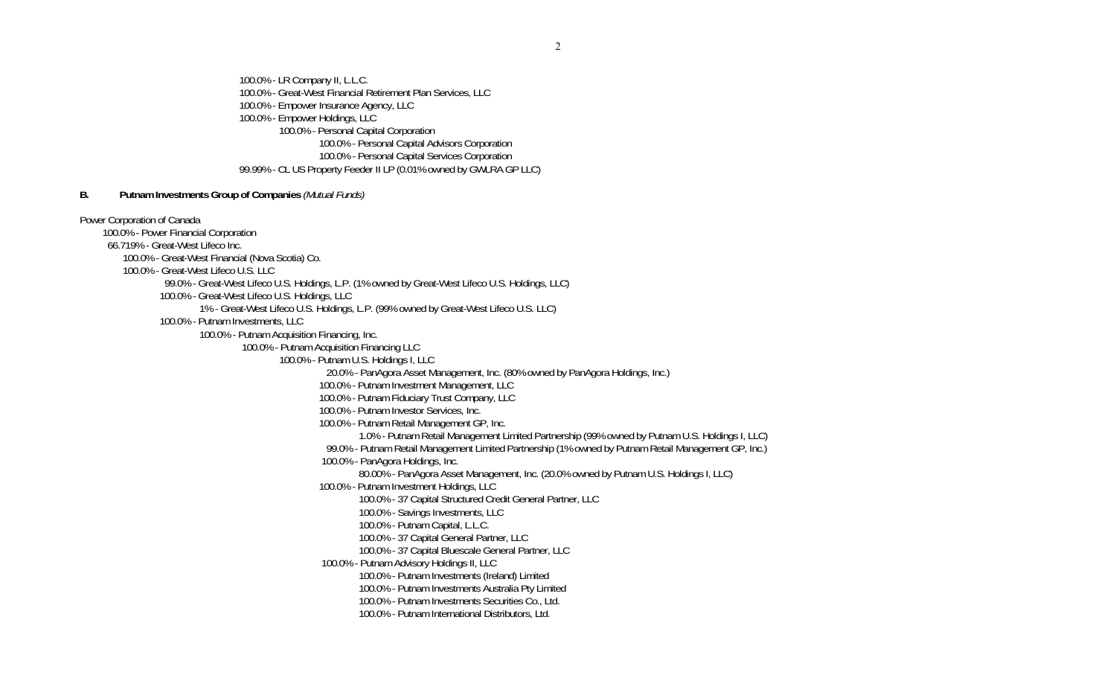100.0% - LR Company II, L.L.C. 100.0% - Great-West Financial Retirement Plan Services, LLC 100.0% - Empower Insurance Agency, LLC 100.0% - Empower Holdings, LLC 100.0% - Personal Capital Corporation 100.0% - Personal Capital Advisors Corporation 100.0% - Personal Capital Services Corporation 99.99% - CL US Property Feeder II LP (0.01% owned by GWLRA GP LLC)

#### **B. Putnam Investments Group of Companies** *(Mutual Funds)*

Power Corporation of Canada 100.0% - Power Financial Corporation 66.719% - Great-West Lifeco Inc. 100.0% - Great-West Financial (Nova Scotia) Co. 100.0% - Great-West Lifeco U.S. LLC 99.0% - Great-West Lifeco U.S. Holdings, L.P. (1% owned by Great-West Lifeco U.S. Holdings, LLC) 100.0% - Great-West Lifeco U.S. Holdings, LLC 1% - Great-West Lifeco U.S. Holdings, L.P. (99% owned by Great-West Lifeco U.S. LLC) 100.0% - Putnam Investments, LLC 100.0% - Putnam Acquisition Financing, Inc. 100.0% - Putnam Acquisition Financing LLC 100.0% - Putnam U.S. Holdings I, LLC 20.0% - PanAgora Asset Management, Inc. (80% owned by PanAgora Holdings, Inc.) 100.0% - Putnam Investment Management, LLC 100.0% - Putnam Fiduciary Trust Company, LLC 100.0% - Putnam Investor Services, Inc. 100.0% - Putnam Retail Management GP, Inc. 1.0% - Putnam Retail Management Limited Partnership (99% owned by Putnam U.S. Holdings I, LLC) 99.0% - Putnam Retail Management Limited Partnership (1% owned by Putnam Retail Management GP, Inc.) 100.0% - PanAgora Holdings, Inc. 80.00% - PanAgora Asset Management, Inc. (20.0% owned by Putnam U.S. Holdings I, LLC) 100.0% - Putnam Investment Holdings, LLC 100.0% - 37 Capital Structured Credit General Partner, LLC 100.0% - Savings Investments, LLC 100.0% - Putnam Capital, L.L.C. 100.0% - 37 Capital General Partner, LLC 100.0% - 37 Capital Bluescale General Partner, LLC 100.0% - Putnam Advisory Holdings II, LLC 100.0% - Putnam Investments (Ireland) Limited 100.0% - Putnam Investments Australia Pty Limited 100.0% - Putnam Investments Securities Co., Ltd. 100.0% - Putnam International Distributors, Ltd.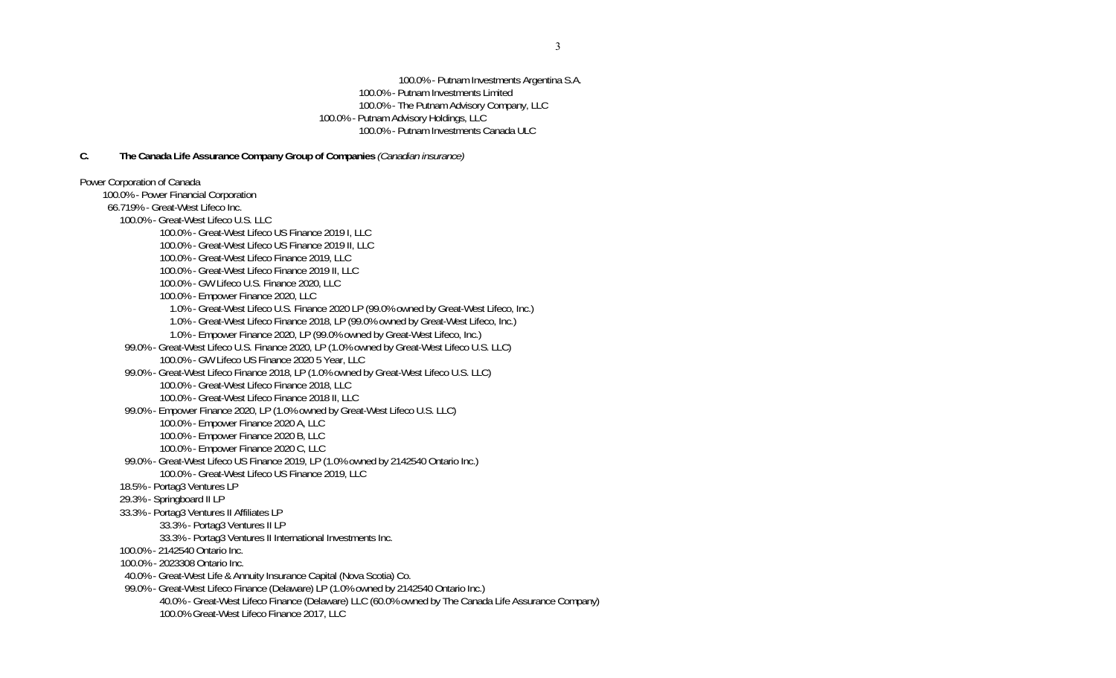100.0% - Putnam Investments Argentina S.A. 100.0% - Putnam Investments Limited 100.0% - The Putnam Advisory Company, LLC 100.0% - Putnam Advisory Holdings, LLC 100.0% - Putnam Investments Canada ULC

### **C. The Canada Life Assurance Company Group of Companies** *(Canadian insurance)*

Power Corporation of Canada 100.0% - Power Financial Corporation 66.719% - Great-West Lifeco Inc. 100.0% - Great-West Lifeco U.S. LLC 100.0% - Great-West Lifeco US Finance 2019 I, LLC 100.0% - Great-West Lifeco US Finance 2019 II, LLC 100.0% - Great-West Lifeco Finance 2019, LLC 100.0% - Great-West Lifeco Finance 2019 II, LLC 100.0% - GW Lifeco U.S. Finance 2020, LLC 100.0% - Empower Finance 2020, LLC 1.0% - Great-West Lifeco U.S. Finance 2020 LP (99.0% owned by Great-West Lifeco, Inc.) 1.0% - Great-West Lifeco Finance 2018, LP (99.0% owned by Great-West Lifeco, Inc.) 1.0% - Empower Finance 2020, LP (99.0% owned by Great-West Lifeco, Inc.) 99.0% - Great-West Lifeco U.S. Finance 2020, LP (1.0% owned by Great-West Lifeco U.S. LLC) 100.0% - GW Lifeco US Finance 2020 5 Year, LLC 99.0% - Great-West Lifeco Finance 2018, LP (1.0% owned by Great-West Lifeco U.S. LLC) 100.0% - Great-West Lifeco Finance 2018, LLC 100.0% - Great-West Lifeco Finance 2018 II, LLC 99.0% - Empower Finance 2020, LP (1.0% owned by Great-West Lifeco U.S. LLC) 100.0% - Empower Finance 2020 A, LLC 100.0% - Empower Finance 2020 B, LLC 100.0% - Empower Finance 2020 C, LLC 99.0% - Great-West Lifeco US Finance 2019, LP (1.0% owned by 2142540 Ontario Inc.) 100.0% - Great-West Lifeco US Finance 2019, LLC 18.5% - Portag3 Ventures LP 29.3% - Springboard II LP 33.3% - Portag3 Ventures II Affiliates LP 33.3% - Portag3 Ventures II LP 33.3% - Portag3 Ventures II International Investments Inc. 100.0% - 2142540 Ontario Inc. 100.0% - 2023308 Ontario Inc. 40.0% - Great-West Life & Annuity Insurance Capital (Nova Scotia) Co. 99.0% - Great-West Lifeco Finance (Delaware) LP (1.0% owned by 2142540 Ontario Inc.) 40.0% - Great-West Lifeco Finance (Delaware) LLC (60.0% owned by The Canada Life Assurance Company) 100.0% Great-West Lifeco Finance 2017, LLC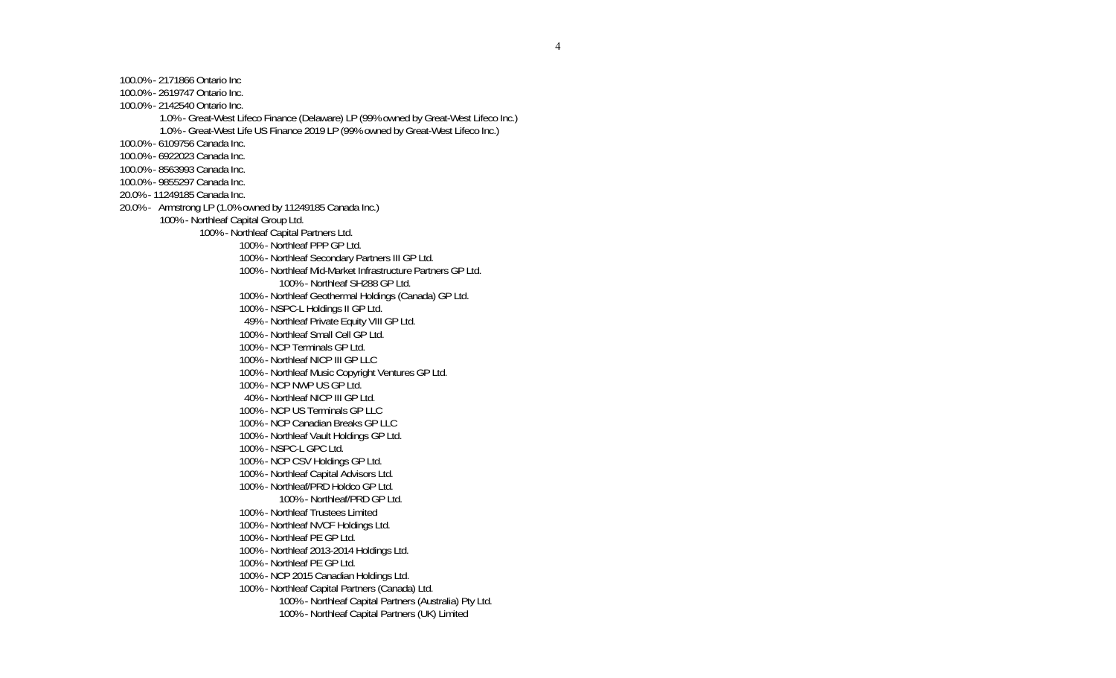100.0% - 2171866 Ontario Inc 100.0% - 2619747 Ontario Inc. 100.0% - 2142540 Ontario Inc. 1.0% - Great-West Lifeco Finance (Delaware) LP (99% owned by Great-West Lifeco Inc.) 1.0% - Great-West Life US Finance 2019 LP (99% owned by Great-West Lifeco Inc.) 100.0% - 6109756 Canada Inc. 100.0% - 6922023 Canada Inc. 100.0% - 8563993 Canada Inc. 100.0% - 9855297 Canada Inc. 20.0% - 11249185 Canada Inc. 20.0% - Armstrong LP (1.0% owned by 11249185 Canada Inc.) 100% - Northleaf Capital Group Ltd. 100% - Northleaf Capital Partners Ltd. 100% - Northleaf PPP GP Ltd. 100% - Northleaf Secondary Partners III GP Ltd. 100% - Northleaf Mid-Market Infrastructure Partners GP Ltd. 100% - Northleaf SH288 GP Ltd. 100% - Northleaf Geothermal Holdings (Canada) GP Ltd. 100% - NSPC-L Holdings II GP Ltd. 49% - Northleaf Private Equity VIII GP Ltd. 100% - Northleaf Small Cell GP Ltd. 100% - NCP Terminals GP Ltd. 100% - Northleaf NICP III GP LLC 100% - Northleaf Music Copyright Ventures GP Ltd. 100% - NCP NWP US GP Ltd. 40% - Northleaf NICP III GP Ltd. 100% - NCP US Terminals GP LLC 100% - NCP Canadian Breaks GP LLC 100% - Northleaf Vault Holdings GP Ltd. 100% - NSPC-L GPC Ltd. 100% - NCP CSV Holdings GP Ltd. 100% - Northleaf Capital Advisors Ltd. 100% - Northleaf/PRD Holdco GP Ltd. 100% - Northleaf/PRD GP Ltd. 100% - Northleaf Trustees Limited 100% - Northleaf NVCF Holdings Ltd. 100% - Northleaf PE GP Ltd. 100% - Northleaf 2013-2014 Holdings Ltd. 100% - Northleaf PE GP Ltd. 100% - NCP 2015 Canadian Holdings Ltd. 100% - Northleaf Capital Partners (Canada) Ltd. 100% - Northleaf Capital Partners (Australia) Pty Ltd. 100% - Northleaf Capital Partners (UK) Limited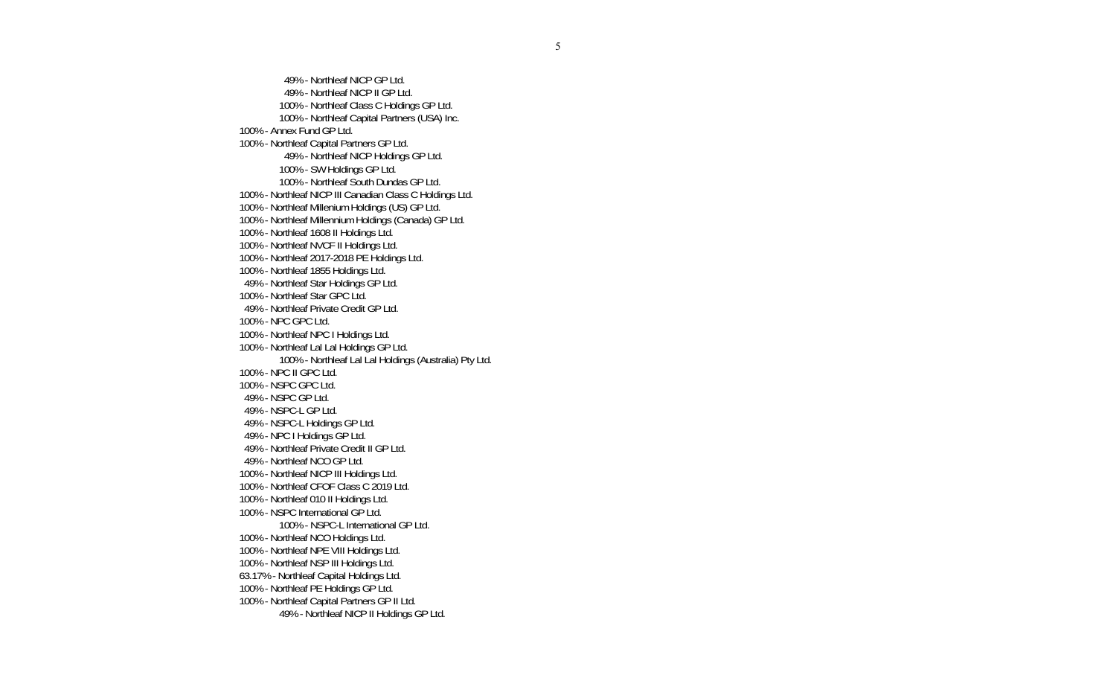49% - Northleaf NICP GP Ltd. 49% - Northleaf NICP II GP Ltd. 100% - Northleaf Class C Holdings GP Ltd. 100% - Northleaf Capital Partners (USA) Inc. 100% - Annex Fund GP Ltd. 100% - Northleaf Capital Partners GP Ltd. 49% - Northleaf NICP Holdings GP Ltd. 100% - SW Holdings GP Ltd. 100% - Northleaf South Dundas GP Ltd. 100% - Northleaf NICP III Canadian Class C Holdings Ltd. 100% - Northleaf Millenium Holdings (US) GP Ltd. 100% - Northleaf Millennium Holdings (Canada) GP Ltd. 100% - Northleaf 1608 II Holdings Ltd. 100% - Northleaf NVCF II Holdings Ltd. 100% - Northleaf 2017-2018 PE Holdings Ltd. 100% - Northleaf 1855 Holdings Ltd. 49% - Northleaf Star Holdings GP Ltd. 100% - Northleaf Star GPC Ltd. 49% - Northleaf Private Credit GP Ltd. 100% - NPC GPC Ltd. 100% - Northleaf NPC I Holdings Ltd. 100% - Northleaf Lal Lal Holdings GP Ltd. 100% - Northleaf Lal Lal Holdings (Australia) Pty Ltd. 100% - NPC II GPC Ltd. 100% - NSPC GPC Ltd. 49% - NSPC GP Ltd. 49% - NSPC-L GP Ltd. 49% - NSPC-L Holdings GP Ltd. 49% - NPC I Holdings GP Ltd. 49% - Northleaf Private Credit II GP Ltd. 49% - Northleaf NCO GP Ltd. 100% - Northleaf NICP III Holdings Ltd. 100% - Northleaf CFOF Class C 2019 Ltd. 100% - Northleaf 010 II Holdings Ltd. 100% - NSPC International GP Ltd. 100% - NSPC-L International GP Ltd. 100% - Northleaf NCO Holdings Ltd. 100% - Northleaf NPE VIII Holdings Ltd. 100% - Northleaf NSP III Holdings Ltd. 63.17% - Northleaf Capital Holdings Ltd. 100% - Northleaf PE Holdings GP Ltd. 100% - Northleaf Capital Partners GP II Ltd. 49% - Northleaf NICP II Holdings GP Ltd.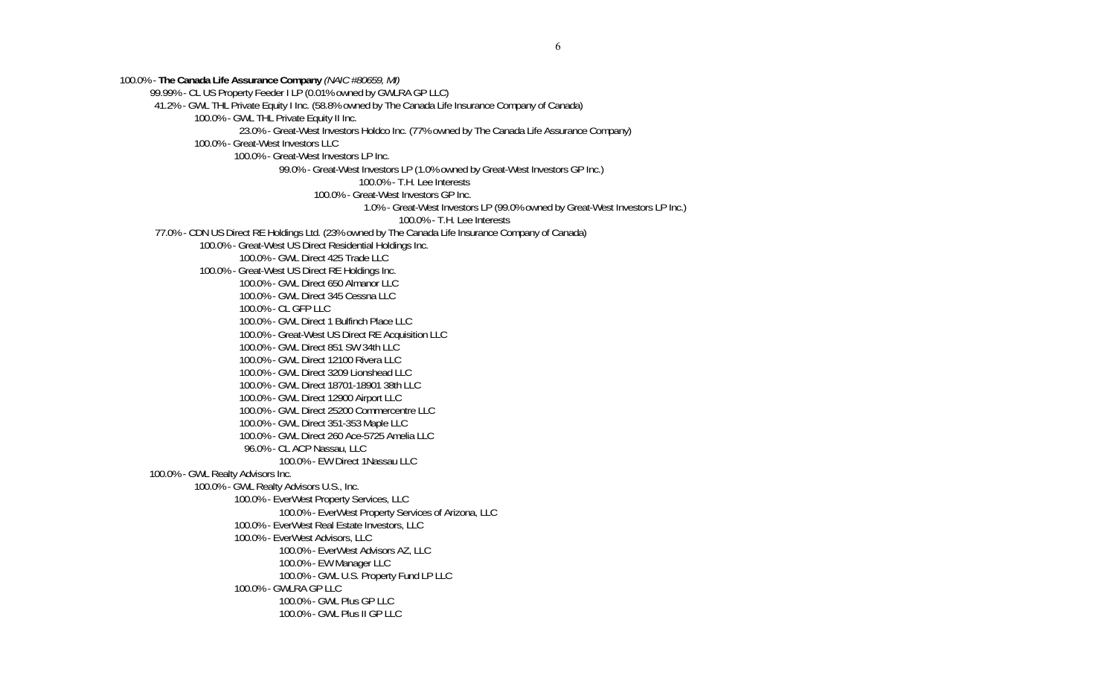100.0% - **The Canada Life Assurance Company** *(NAIC #80659, MI)*  99.99% - CL US Property Feeder I LP (0.01% owned by GWLRA GP LLC) 41.2% - GWL THL Private Equity I Inc. (58.8% owned by The Canada Life Insurance Company of Canada) 100.0% - GWL THL Private Equity II Inc. 23.0% - Great-West Investors Holdco Inc. (77% owned by The Canada Life Assurance Company) 100.0% - Great-West Investors LLC 100.0% - Great-West Investors LP Inc. 99.0% - Great-West Investors LP (1.0% owned by Great-West Investors GP Inc.) 100.0% - T.H. Lee Interests 100.0% - Great-West Investors GP Inc. 1.0% - Great-West Investors LP (99.0% owned by Great-West Investors LP Inc.) 100.0% - T.H. Lee Interests 77.0% - CDN US Direct RE Holdings Ltd. (23% owned by The Canada Life Insurance Company of Canada) 100.0% - Great-West US Direct Residential Holdings Inc. 100.0% - GWL Direct 425 Trade LLC 100.0% - Great-West US Direct RE Holdings Inc. 100.0% - GWL Direct 650 Almanor LLC 100.0% - GWL Direct 345 Cessna LLC 100.0% - CL GFP LLC 100.0% - GWL Direct 1 Bulfinch Place LLC 100.0% - Great-West US Direct RE Acquisition LLC 100.0% - GWL Direct 851 SW 34th LLC 100.0% - GWL Direct 12100 Rivera LLC 100.0% - GWL Direct 3209 Lionshead LLC 100.0% - GWL Direct 18701-18901 38th LLC 100.0% - GWL Direct 12900 Airport LLC 100.0% - GWL Direct 25200 Commercentre LLC 100.0% - GWL Direct 351-353 Maple LLC 100.0% - GWL Direct 260 Ace-5725 Amelia LLC 96.0% - CL ACP Nassau, LLC 100.0% - EW Direct 1Nassau LLC 100.0% - GWL Realty Advisors Inc. 100.0% - GWL Realty Advisors U.S., Inc. 100.0% - EverWest Property Services, LLC 100.0% - EverWest Property Services of Arizona, LLC 100.0% - EverWest Real Estate Investors, LLC 100.0% - EverWest Advisors, LLC 100.0% - EverWest Advisors AZ, LLC 100.0% - EW Manager LLC 100.0% - GWL U.S. Property Fund LP LLC 100.0% - GWLRA GP LLC 100.0% - GWL Plus GP LLC 100.0% - GWL Plus II GP LLC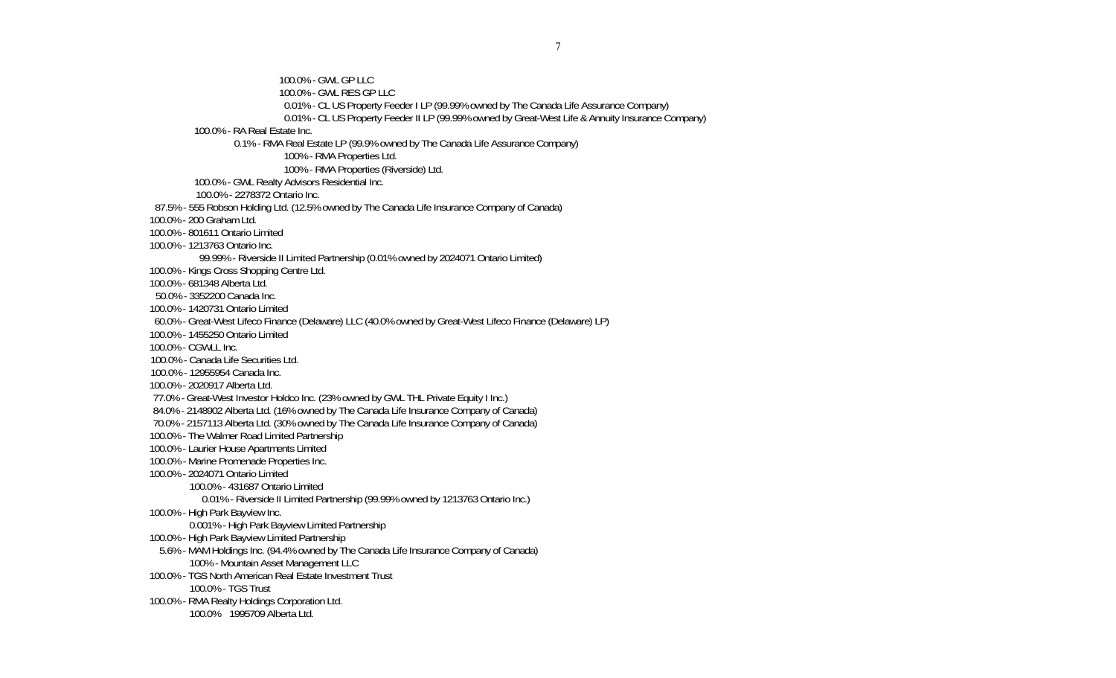100.0% - GWL GP LLC 100.0% - GWL RES GP LLC 0.01% - CL US Property Feeder I LP (99.99% owned by The Canada Life Assurance Company) 0.01% - CL US Property Feeder II LP (99.99% owned by Great-West Life & Annuity Insurance Company) 100.0% - RA Real Estate Inc. 0.1% - RMA Real Estate LP (99.9% owned by The Canada Life Assurance Company) 100% - RMA Properties Ltd. 100% - RMA Properties (Riverside) Ltd. 100.0% - GWL Realty Advisors Residential Inc. 100.0% - 2278372 Ontario Inc. 87.5% - 555 Robson Holding Ltd. (12.5% owned by The Canada Life Insurance Company of Canada) 100.0% - 200 Graham Ltd. 100.0% - 801611 Ontario Limited 100.0% - 1213763 Ontario Inc. 99.99% - Riverside II Limited Partnership (0.01% owned by 2024071 Ontario Limited) 100.0% - Kings Cross Shopping Centre Ltd. 100.0% - 681348 Alberta Ltd. 50.0% - 3352200 Canada Inc. 100.0% - 1420731 Ontario Limited 60.0% - Great-West Lifeco Finance (Delaware) LLC (40.0% owned by Great-West Lifeco Finance (Delaware) LP) 100.0% - 1455250 Ontario Limited 100.0% - CGWLL Inc. 100.0% - Canada Life Securities Ltd. 100.0% - 12955954 Canada Inc. 100.0% - 2020917 Alberta Ltd. 77.0% - Great-West Investor Holdco Inc. (23% owned by GWL THL Private Equity I Inc.) 84.0% - 2148902 Alberta Ltd. (16% owned by The Canada Life Insurance Company of Canada) 70.0% - 2157113 Alberta Ltd. (30% owned by The Canada Life Insurance Company of Canada) 100.0% - The Walmer Road Limited Partnership 100.0% - Laurier House Apartments Limited 100.0% - Marine Promenade Properties Inc. 100.0% - 2024071 Ontario Limited 100.0% - 431687 Ontario Limited 0.01% - Riverside II Limited Partnership (99.99% owned by 1213763 Ontario Inc.) 100.0% - High Park Bayview Inc. 0.001% - High Park Bayview Limited Partnership 100.0% - High Park Bayview Limited Partnership 5.6% - MAM Holdings Inc. (94.4% owned by The Canada Life Insurance Company of Canada) 100% - Mountain Asset Management LLC 100.0% - TGS North American Real Estate Investment Trust 100.0% - TGS Trust 100.0% - RMA Realty Holdings Corporation Ltd. 100.0% 1995709 Alberta Ltd.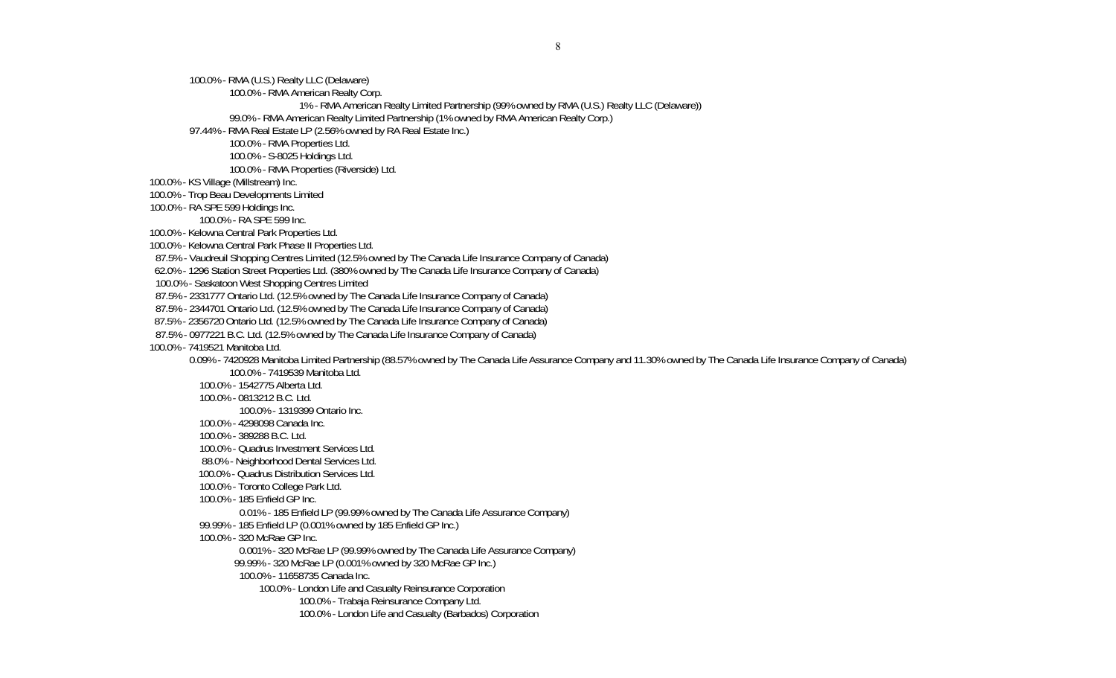100.0% - RMA (U.S.) Realty LLC (Delaware)

100.0% - RMA American Realty Corp.

1% - RMA American Realty Limited Partnership (99% owned by RMA (U.S.) Realty LLC (Delaware))

99.0% - RMA American Realty Limited Partnership (1% owned by RMA American Realty Corp.)

97.44% - RMA Real Estate LP (2.56% owned by RA Real Estate Inc.)

100.0% - RMA Properties Ltd.

100.0% - S-8025 Holdings Ltd.

100.0% - RMA Properties (Riverside) Ltd.

100.0% - KS Village (Millstream) Inc.

100.0% - Trop Beau Developments Limited

100.0% - RA SPE 599 Holdings Inc.

100.0% - RA SPE 599 Inc.

100.0% - Kelowna Central Park Properties Ltd.

100.0% - Kelowna Central Park Phase II Properties Ltd.

87.5% - Vaudreuil Shopping Centres Limited (12.5% owned by The Canada Life Insurance Company of Canada)

62.0% - 1296 Station Street Properties Ltd. (380% owned by The Canada Life Insurance Company of Canada)

100.0% - Saskatoon West Shopping Centres Limited

87.5% - 2331777 Ontario Ltd. (12.5% owned by The Canada Life Insurance Company of Canada)

87.5% - 2344701 Ontario Ltd. (12.5% owned by The Canada Life Insurance Company of Canada)

87.5% - 2356720 Ontario Ltd. (12.5% owned by The Canada Life Insurance Company of Canada)

87.5% - 0977221 B.C. Ltd. (12.5% owned by The Canada Life Insurance Company of Canada)

100.0% - 7419521 Manitoba Ltd.

0.09% - 7420928 Manitoba Limited Partnership (88.57% owned by The Canada Life Assurance Company and 11.30% owned by The Canada Life Insurance Company of Canada)

100.0% - 7419539 Manitoba Ltd.

100.0% - 1542775 Alberta Ltd.

100.0% - 0813212 B.C. Ltd.

100.0% - 1319399 Ontario Inc.

100.0% - 4298098 Canada Inc.

- 100.0% 389288 B.C. Ltd.
- 100.0% Quadrus Investment Services Ltd.
- 88.0% Neighborhood Dental Services Ltd.
- 100.0% Quadrus Distribution Services Ltd.
- 100.0% Toronto College Park Ltd.
- 100.0% 185 Enfield GP Inc.
	- 0.01% 185 Enfield LP (99.99% owned by The Canada Life Assurance Company)
- 99.99% 185 Enfield LP (0.001% owned by 185 Enfield GP Inc.)
- 100.0% 320 McRae GP Inc.

0.001% - 320 McRae LP (99.99% owned by The Canada Life Assurance Company)

99.99% - 320 McRae LP (0.001% owned by 320 McRae GP Inc.)

100.0% - 11658735 Canada Inc.

100.0% - London Life and Casualty Reinsurance Corporation

100.0% - Trabaja Reinsurance Company Ltd.

100.0% - London Life and Casualty (Barbados) Corporation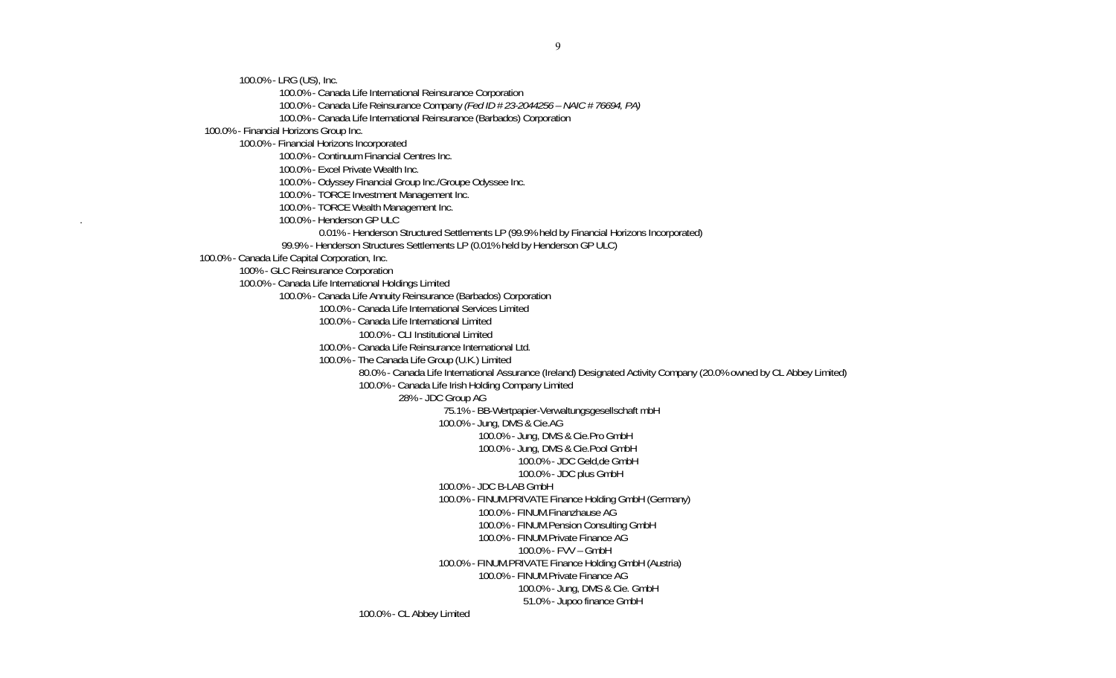100.0% - LRG (US), Inc.

100.0% - Canada Life International Reinsurance Corporation

100.0% - Canada Life Reinsurance Company *(Fed ID # 23-2044256 – NAIC # 76694, PA)* 

100.0% - Canada Life International Reinsurance (Barbados) Corporation

100.0% - Financial Horizons Group Inc.

100.0% - Financial Horizons Incorporated

100.0% - Continuum Financial Centres Inc.

100.0% - Excel Private Wealth Inc.

100.0% - Odyssey Financial Group Inc./Groupe Odyssee Inc.

100.0% - TORCE Investment Management Inc.

100.0% - TORCE Wealth Management Inc.

. 100.0% - Henderson GP ULC

0.01% - Henderson Structured Settlements LP (99.9% held by Financial Horizons Incorporated)

99.9% - Henderson Structures Settlements LP (0.01% held by Henderson GP ULC)

100.0% - Canada Life Capital Corporation, Inc.

100% - GLC Reinsurance Corporation

100.0% - Canada Life International Holdings Limited

100.0% - Canada Life Annuity Reinsurance (Barbados) Corporation

100.0% - Canada Life International Services Limited

100.0% - Canada Life International Limited

100.0% - CLI Institutional Limited

100.0% - Canada Life Reinsurance International Ltd.

100.0% - The Canada Life Group (U.K.) Limited

80.0% - Canada Life International Assurance (Ireland) Designated Activity Company (20.0% owned by CL Abbey Limited)

100.0% - Canada Life Irish Holding Company Limited

28% - JDC Group AG

75.1% - BB-Wertpapier-Verwaltungsgesellschaft mbH

100.0% - Jung, DMS & Cie.AG

100.0% - Jung, DMS & Cie.Pro GmbH

100.0% - Jung, DMS & Cie.Pool GmbH

100.0% - JDC Geld,de GmbH

100.0% - JDC plus GmbH

100.0% - JDC B-LAB GmbH

100.0% - FINUM.PRIVATE Finance Holding GmbH (Germany)

100.0% - FINUM.Finanzhause AG

 100.0% - FINUM.Pension Consulting GmbH 100.0% - FINUM.Private Finance AG

100.0% - FVV – GmbH

 100.0% - FINUM.PRIVATE Finance Holding GmbH (Austria) 100.0% - FINUM.Private Finance AG

100.0% - Jung, DMS & Cie. GmbH

51.0% - Jupoo finance GmbH

100.0% - CL Abbey Limited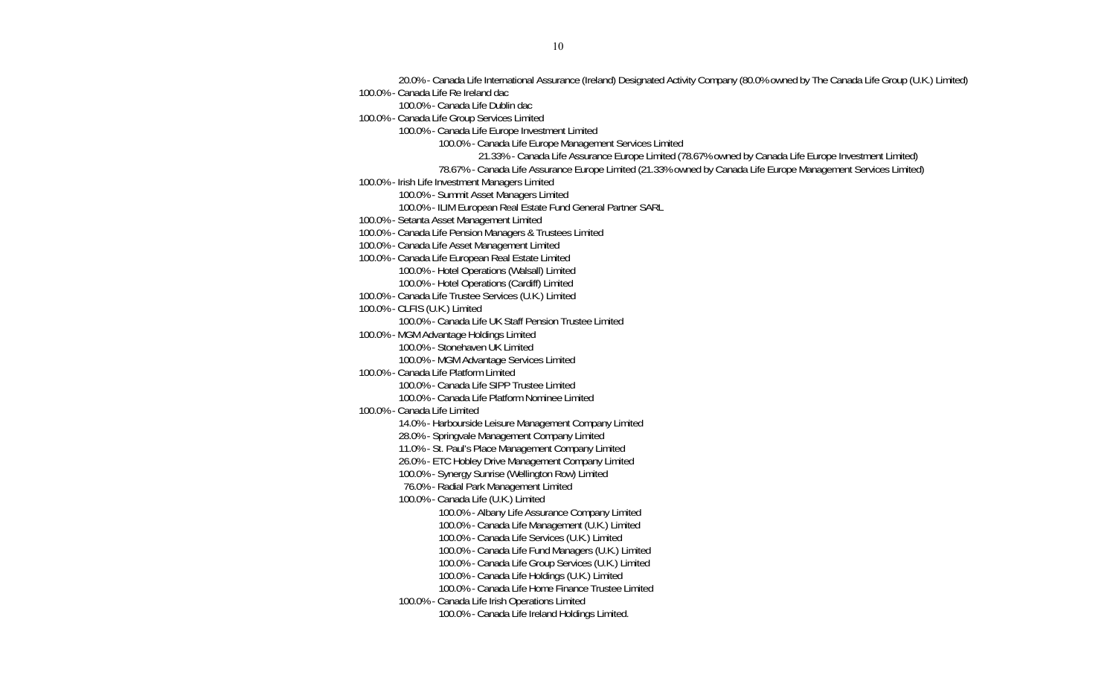20.0% - Canada Life International Assurance (Ireland) Designated Activity Company (80.0% owned by The Canada Life Group (U.K.) Limited) 100.0% - Canada Life Re Ireland dac 100.0% - Canada Life Dublin dac 100.0% - Canada Life Group Services Limited 100.0% - Canada Life Europe Investment Limited 100.0% - Canada Life Europe Management Services Limited 21.33% - Canada Life Assurance Europe Limited (78.67% owned by Canada Life Europe Investment Limited) 78.67% - Canada Life Assurance Europe Limited (21.33% owned by Canada Life Europe Management Services Limited) 100.0% - Irish Life Investment Managers Limited 100.0% - Summit Asset Managers Limited 100.0% - ILIM European Real Estate Fund General Partner SARL 100.0% - Setanta Asset Management Limited 100.0% - Canada Life Pension Managers & Trustees Limited 100.0% - Canada Life Asset Management Limited 100.0% - Canada Life European Real Estate Limited 100.0% - Hotel Operations (Walsall) Limited 100.0% - Hotel Operations (Cardiff) Limited 100.0% - Canada Life Trustee Services (U.K.) Limited 100.0% - CLFIS (U.K.) Limited 100.0% - Canada Life UK Staff Pension Trustee Limited 100.0% - MGM Advantage Holdings Limited 100.0% - Stonehaven UK Limited 100.0% - MGM Advantage Services Limited 100.0% - Canada Life Platform Limited 100.0% - Canada Life SIPP Trustee Limited 100.0% - Canada Life Platform Nominee Limited 100.0% - Canada Life Limited 14.0% - Harbourside Leisure Management Company Limited 28.0% - Springvale Management Company Limited 11.0% - St. Paul's Place Management Company Limited 26.0% - ETC Hobley Drive Management Company Limited 100.0% - Synergy Sunrise (Wellington Row) Limited 76.0% - Radial Park Management Limited 100.0% - Canada Life (U.K.) Limited 100.0% - Albany Life Assurance Company Limited 100.0% - Canada Life Management (U.K.) Limited 100.0% - Canada Life Services (U.K.) Limited 100.0% - Canada Life Fund Managers (U.K.) Limited 100.0% - Canada Life Group Services (U.K.) Limited 100.0% - Canada Life Holdings (U.K.) Limited 100.0% - Canada Life Home Finance Trustee Limited 100.0% - Canada Life Irish Operations Limited 100.0% - Canada Life Ireland Holdings Limited.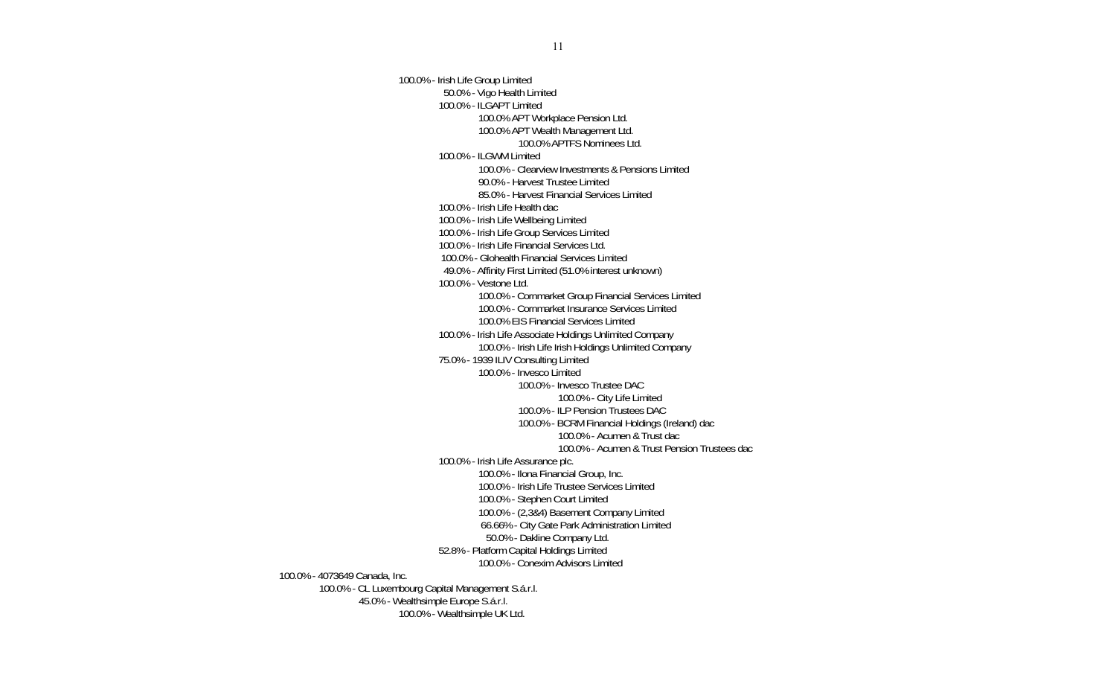100.0% - Irish Life Group Limited 50.0% - Vigo Health Limited 100.0% - ILGAPT Limited 100.0% APT Workplace Pension Ltd. 100.0% APT Wealth Management Ltd. 100.0% APTFS Nominees Ltd. 100.0% - ILGWM Limited 100.0% - Clearview Investments & Pensions Limited 90.0% - Harvest Trustee Limited 85.0% - Harvest Financial Services Limited 100.0% - Irish Life Health dac 100.0% - Irish Life Wellbeing Limited 100.0% - Irish Life Group Services Limited 100.0% - Irish Life Financial Services Ltd. 100.0% - Glohealth Financial Services Limited 49.0% - Affinity First Limited (51.0% interest unknown) 100.0% - Vestone Ltd. 100.0% - Cornmarket Group Financial Services Limited 100.0% - Cornmarket Insurance Services Limited 100.0% EIS Financial Services Limited 100.0% - Irish Life Associate Holdings Unlimited Company 100.0% - Irish Life Irish Holdings Unlimited Company 75.0% - 1939 ILIV Consulting Limited 100.0% - Invesco Limited 100.0% - Invesco Trustee DAC 100.0% - City Life Limited 100.0% - ILP Pension Trustees DAC 100.0% - BCRM Financial Holdings (Ireland) dac 100.0% - Acumen & Trust dac 100.0% - Acumen & Trust Pension Trustees dac 100.0% - Irish Life Assurance plc. 100.0% - Ilona Financial Group, Inc. 100.0% - Irish Life Trustee Services Limited 100.0% - Stephen Court Limited 100.0% - (2,3&4) Basement Company Limited 66.66% - City Gate Park Administration Limited 50.0% - Dakline Company Ltd. 52.8% - Platform Capital Holdings Limited 100.0% - Conexim Advisors Limited 100.0% - 4073649 Canada, Inc. 100.0% - CL Luxembourg Capital Management S.á.r.l. 45.0% - Wealthsimple Europe S.á.r.l. 100.0% - Wealthsimple UK Ltd.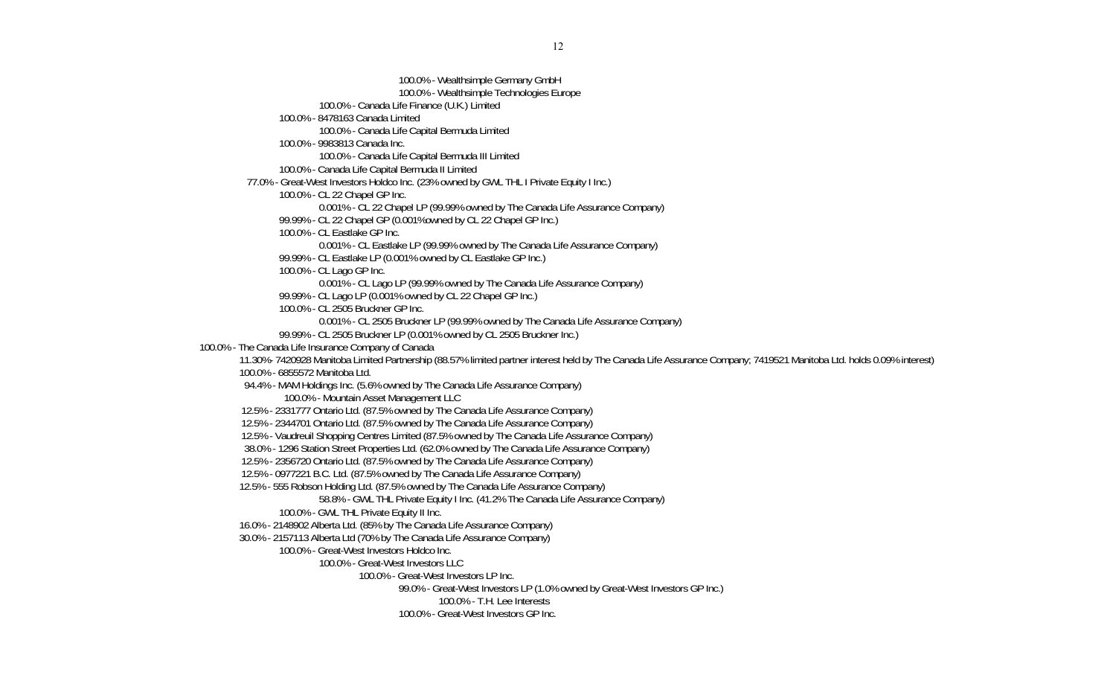100.0% - Wealthsimple Germany GmbH 100.0% - Wealthsimple Technologies Europe 100.0% - Canada Life Finance (U.K.) Limited 100.0% - 8478163 Canada Limited 100.0% - Canada Life Capital Bermuda Limited 100.0% - 9983813 Canada Inc. 100.0% - Canada Life Capital Bermuda III Limited 100.0% - Canada Life Capital Bermuda II Limited 77.0% - Great-West Investors Holdco Inc. (23% owned by GWL THL I Private Equity I Inc.) 100.0% - CL 22 Chapel GP Inc. 0.001% - CL 22 Chapel LP (99.99% owned by The Canada Life Assurance Company) 99.99% - CL 22 Chapel GP (0.001%owned by CL 22 Chapel GP Inc.) 100.0% - CL Eastlake GP Inc. 0.001% - CL Eastlake LP (99.99% owned by The Canada Life Assurance Company) 99.99% - CL Eastlake LP (0.001% owned by CL Eastlake GP Inc.) 100.0% - CL Lago GP Inc. 0.001% - CL Lago LP (99.99% owned by The Canada Life Assurance Company) 99.99% - CL Lago LP (0.001% owned by CL 22 Chapel GP Inc.) 100.0% - CL 2505 Bruckner GP Inc. 0.001% - CL 2505 Bruckner LP (99.99% owned by The Canada Life Assurance Company) 99.99% - CL 2505 Bruckner LP (0.001% owned by CL 2505 Bruckner Inc.) 100.0% - The Canada Life Insurance Company of Canada 11.30%- 7420928 Manitoba Limited Partnership (88.57% limited partner interest held by The Canada Life Assurance Company; 7419521 Manitoba Ltd. holds 0.09% interest) 100.0% - 6855572 Manitoba Ltd. 94.4% - MAM Holdings Inc. (5.6% owned by The Canada Life Assurance Company) 100.0% - Mountain Asset Management LLC 12.5% - 2331777 Ontario Ltd. (87.5% owned by The Canada Life Assurance Company) 12.5% - 2344701 Ontario Ltd. (87.5% owned by The Canada Life Assurance Company) 12.5% - Vaudreuil Shopping Centres Limited (87.5% owned by The Canada Life Assurance Company) 38.0% - 1296 Station Street Properties Ltd. (62.0% owned by The Canada Life Assurance Company) 12.5% - 2356720 Ontario Ltd. (87.5% owned by The Canada Life Assurance Company) 12.5% - 0977221 B.C. Ltd. (87.5% owned by The Canada Life Assurance Company) 12.5% - 555 Robson Holding Ltd. (87.5% owned by The Canada Life Assurance Company) 58.8% - GWL THL Private Equity I Inc. (41.2% The Canada Life Assurance Company) 100.0% - GWL THL Private Equity II Inc. 16.0% - 2148902 Alberta Ltd. (85% by The Canada Life Assurance Company) 30.0% - 2157113 Alberta Ltd (70% by The Canada Life Assurance Company) 100.0% - Great-West Investors Holdco Inc. 100.0% - Great-West Investors LLC 100.0% - Great-West Investors LP Inc. 99.0% - Great-West Investors LP (1.0% owned by Great-West Investors GP Inc.) 100.0% - T.H. Lee Interests 100.0% - Great-West Investors GP Inc.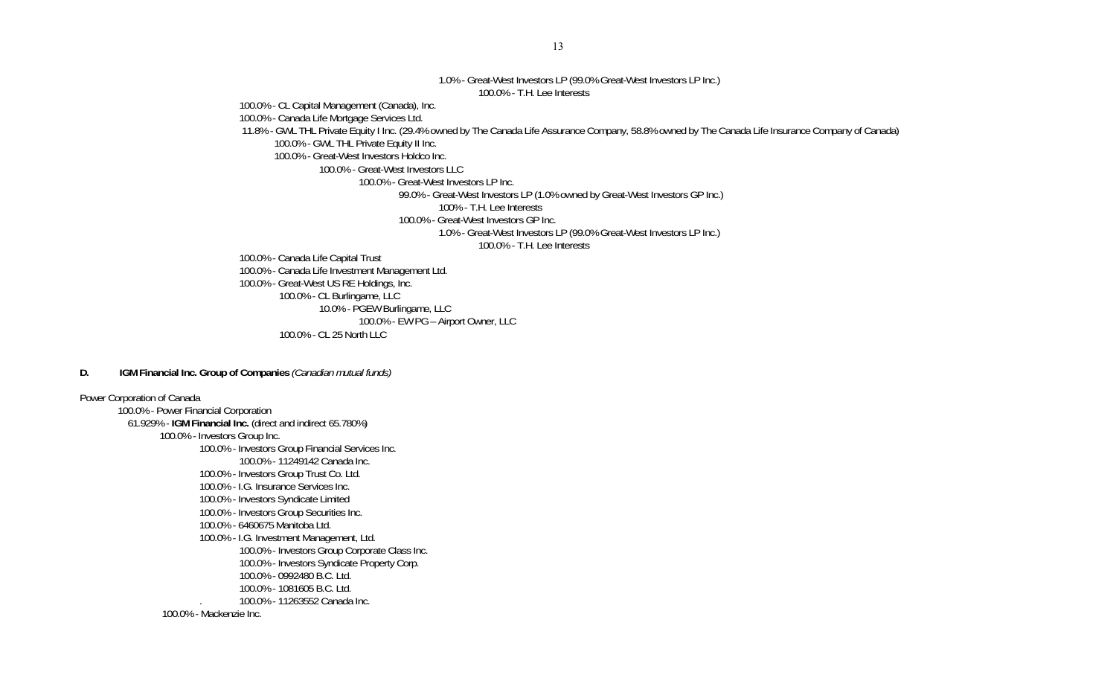#### 1.0% - Great-West Investors LP (99.0% Great-West Investors LP Inc.) 100.0% - T.H. Lee Interests

100.0% - CL Capital Management (Canada), Inc.

100.0% - Canada Life Mortgage Services Ltd.

11.8% - GWL THL Private Equity I Inc. (29.4% owned by The Canada Life Assurance Company, 58.8% owned by The Canada Life Insurance Company of Canada)

100.0% - GWL THL Private Equity II Inc.

100.0% - Great-West Investors Holdco Inc.

100.0% - Great-West Investors LLC

100.0% - Great-West Investors LP Inc.

99.0% - Great-West Investors LP (1.0% owned by Great-West Investors GP Inc.)

100% - T.H. Lee Interests

100.0% - Great-West Investors GP Inc.

1.0% - Great-West Investors LP (99.0% Great-West Investors LP Inc.)

100.0% - T.H. Lee Interests

100.0% - Canada Life Capital Trust

 100.0% - Canada Life Investment Management Ltd. 100.0% - Great-West US RE Holdings, Inc. 100.0% - CL Burlingame, LLC 10.0% - PGEW Burlingame, LLC 100.0% - EW PG – Airport Owner, LLC

100.0% - CL 25 North LLC

#### **D. IGM Financial Inc. Group of Companies** *(Canadian mutual funds)*

Power Corporation of Canada 100.0% - Power Financial Corporation 61.929% - **IGM Financial Inc.** (direct and indirect 65.780%) 100.0% - Investors Group Inc. 100.0% - Investors Group Financial Services Inc. 100.0% - 11249142 Canada Inc. 100.0% - Investors Group Trust Co. Ltd. 100.0% - I.G. Insurance Services Inc. 100.0% - Investors Syndicate Limited 100.0% - Investors Group Securities Inc. 100.0% - 6460675 Manitoba Ltd. 100.0% - I.G. Investment Management, Ltd. 100.0% - Investors Group Corporate Class Inc. 100.0% - Investors Syndicate Property Corp. 100.0% - 0992480 B.C. Ltd. 100.0% - 1081605 B.C. Ltd. . 100.0% - 11263552 Canada Inc. 100.0% - Mackenzie Inc.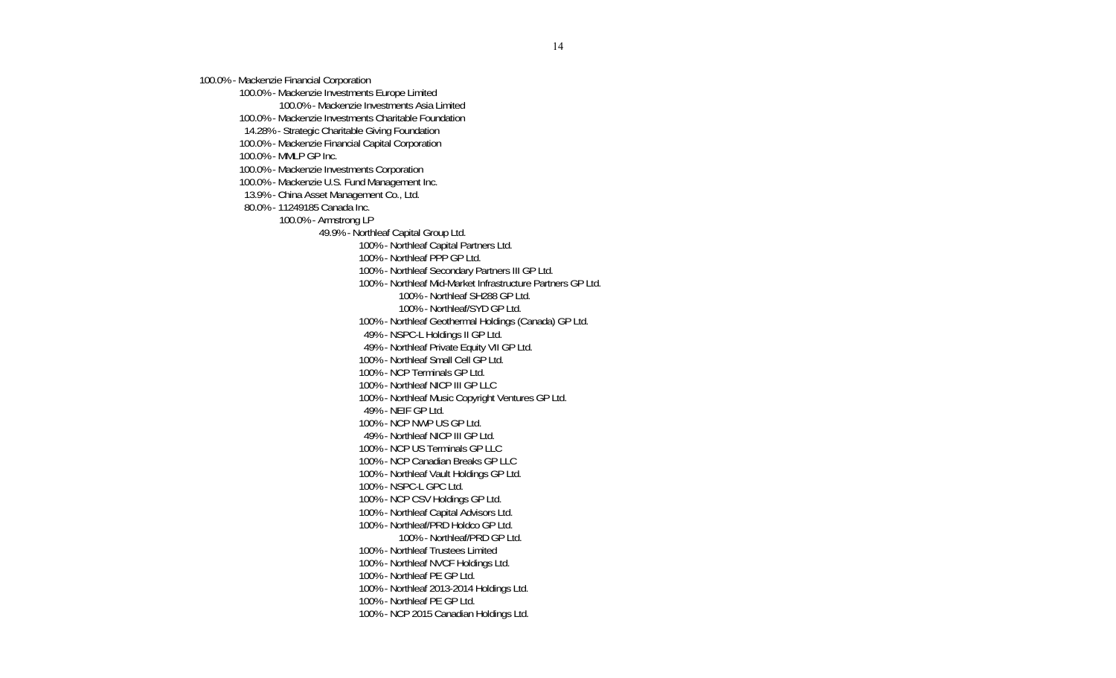100.0% - Mackenzie Financial Corporation

100.0% - Mackenzie Investments Europe Limited

100.0% - Mackenzie Investments Asia Limited

100.0% - Mackenzie Investments Charitable Foundation

14.28% - Strategic Charitable Giving Foundation

100.0% - Mackenzie Financial Capital Corporation

100.0% - MMLP GP Inc.

100.0% - Mackenzie Investments Corporation

100.0% - Mackenzie U.S. Fund Management Inc.

13.9% - China Asset Management Co., Ltd.

80.0% - 11249185 Canada Inc.

100.0% - Armstrong LP

49.9% - Northleaf Capital Group Ltd.

100% - Northleaf Capital Partners Ltd.

100% - Northleaf PPP GP Ltd.

100% - Northleaf Secondary Partners III GP Ltd.

100% - Northleaf Mid-Market Infrastructure Partners GP Ltd.

100% - Northleaf SH288 GP Ltd.

100% - Northleaf/SYD GP Ltd.

100% - Northleaf Geothermal Holdings (Canada) GP Ltd.

49% - NSPC-L Holdings II GP Ltd.

49% - Northleaf Private Equity VII GP Ltd.

100% - Northleaf Small Cell GP Ltd.

100% - NCP Terminals GP Ltd.

100% - Northleaf NICP III GP LLC

100% - Northleaf Music Copyright Ventures GP Ltd.

49% - NEIF GP Ltd.

100% - NCP NWP US GP Ltd.

49% - Northleaf NICP III GP Ltd.

100% - NCP US Terminals GP LLC

100% - NCP Canadian Breaks GP LLC

100% - Northleaf Vault Holdings GP Ltd.

100% - NSPC-L GPC Ltd.

100% - NCP CSV Holdings GP Ltd.

100% - Northleaf Capital Advisors Ltd.

100% - Northleaf/PRD Holdco GP Ltd.

100% - Northleaf/PRD GP Ltd.

100% - Northleaf Trustees Limited

100% - Northleaf NVCF Holdings Ltd.

100% - Northleaf PE GP Ltd.

100% - Northleaf 2013-2014 Holdings Ltd.

100% - Northleaf PE GP Ltd.

100% - NCP 2015 Canadian Holdings Ltd.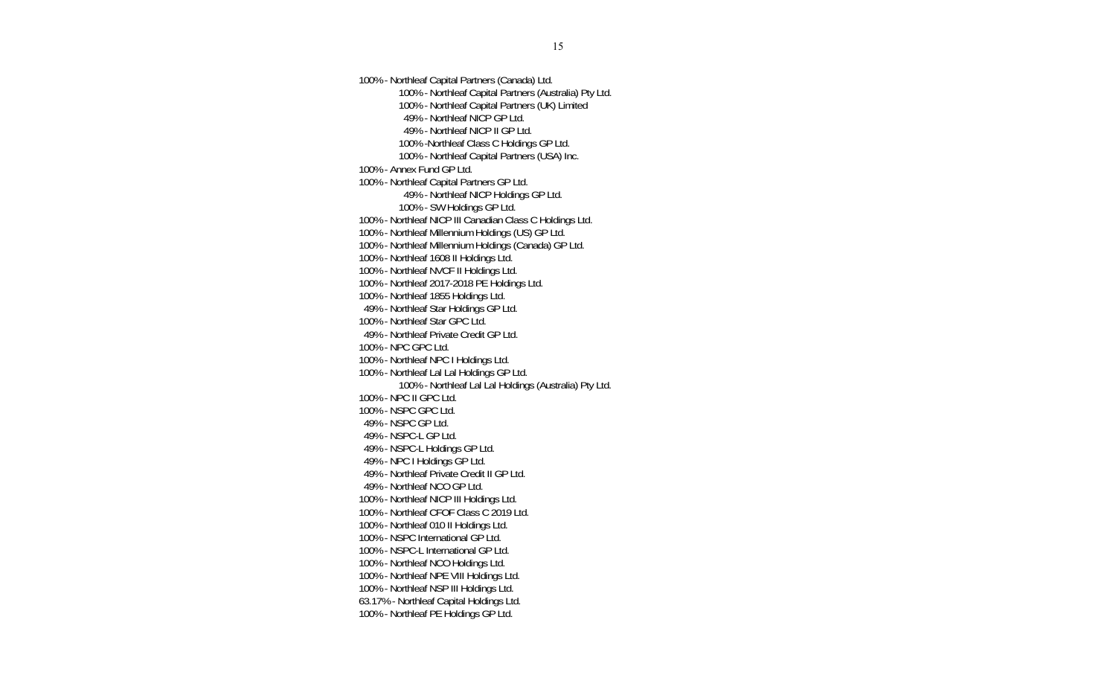100% - Northleaf Capital Partners (Canada) Ltd. 100% - Northleaf Capital Partners (Australia) Pty Ltd. 100% - Northleaf Capital Partners (UK) Limited 49% - Northleaf NICP GP Ltd. 49% - Northleaf NICP II GP Ltd. 100% -Northleaf Class C Holdings GP Ltd. 100% - Northleaf Capital Partners (USA) Inc. 100% - Annex Fund GP Ltd. 100% - Northleaf Capital Partners GP Ltd. 49% - Northleaf NICP Holdings GP Ltd. 100% - SW Holdings GP Ltd. 100% - Northleaf NICP III Canadian Class C Holdings Ltd. 100% - Northleaf Millennium Holdings (US) GP Ltd. 100% - Northleaf Millennium Holdings (Canada) GP Ltd. 100% - Northleaf 1608 II Holdings Ltd. 100% - Northleaf NVCF II Holdings Ltd. 100% - Northleaf 2017-2018 PE Holdings Ltd. 100% - Northleaf 1855 Holdings Ltd. 49% - Northleaf Star Holdings GP Ltd. 100% - Northleaf Star GPC Ltd. 49% - Northleaf Private Credit GP Ltd. 100% - NPC GPC Ltd. 100% - Northleaf NPC I Holdings Ltd. 100% - Northleaf Lal Lal Holdings GP Ltd. 100% - Northleaf Lal Lal Holdings (Australia) Pty Ltd. 100% - NPC II GPC Ltd. 100% - NSPC GPC Ltd. 49% - NSPC GP Ltd. 49% - NSPC-L GP Ltd. 49% - NSPC-L Holdings GP Ltd. 49% - NPC I Holdings GP Ltd. 49% - Northleaf Private Credit II GP Ltd. 49% - Northleaf NCO GP Ltd. 100% - Northleaf NICP III Holdings Ltd. 100% - Northleaf CFOF Class C 2019 Ltd. 100% - Northleaf 010 II Holdings Ltd. 100% - NSPC International GP Ltd. 100% - NSPC-L International GP Ltd. 100% - Northleaf NCO Holdings Ltd. 100% - Northleaf NPE VIII Holdings Ltd. 100% - Northleaf NSP III Holdings Ltd. 63.17% - Northleaf Capital Holdings Ltd. 100% - Northleaf PE Holdings GP Ltd.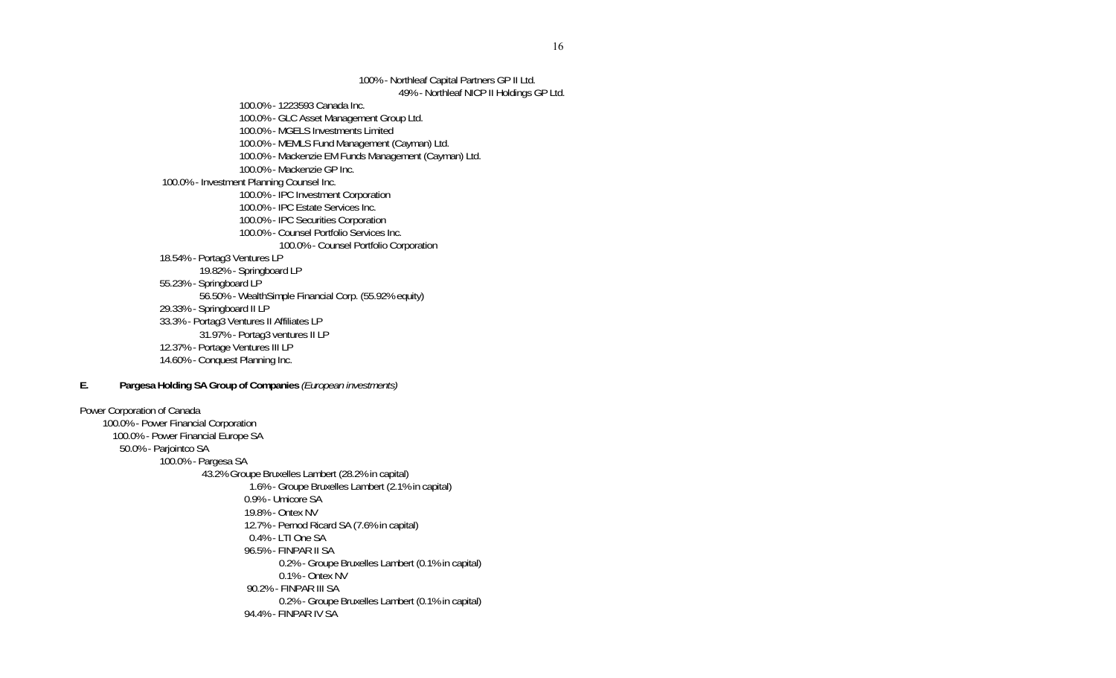100% - Northleaf Capital Partners GP II Ltd. 49% - Northleaf NICP II Holdings GP Ltd. 100.0% - 1223593 Canada Inc. 100.0% - GLC Asset Management Group Ltd. 100.0% - MGELS Investments Limited 100.0% - MEMLS Fund Management (Cayman) Ltd. 100.0% - Mackenzie EM Funds Management (Cayman) Ltd. 100.0% - Mackenzie GP Inc. 100.0% - Investment Planning Counsel Inc. 100.0% - IPC Investment Corporation 100.0% - IPC Estate Services Inc. 100.0% - IPC Securities Corporation 100.0% - Counsel Portfolio Services Inc. 100.0% - Counsel Portfolio Corporation 18.54% - Portag3 Ventures LP 19.82% - Springboard LP 55.23% - Springboard LP 56.50% - WealthSimple Financial Corp. (55.92% equity) 29.33% - Springboard II LP 33.3% - Portag3 Ventures II Affiliates LP 31.97% - Portag3 ventures II LP 12.37% - Portage Ventures III LP 14.60% - Conquest Planning Inc. **E. Pargesa Holding SA Group of Companies** *(European investments)* Power Corporation of Canada 100.0% - Power Financial Corporation 100.0% - Power Financial Europe SA 50.0% - Parjointco SA 100.0% - Pargesa SA 43.2% Groupe Bruxelles Lambert (28.2% in capital) 1.6% - Groupe Bruxelles Lambert (2.1% in capital) 0.9% - Umicore SA 19.8% - Ontex NV 12.7% - Pernod Ricard SA (7.6% in capital) 0.4% - LTI One SA 96.5% - FINPAR II SA 0.2% - Groupe Bruxelles Lambert (0.1% in capital) 0.1% - Ontex NV 90.2% - FINPAR III SA 0.2% - Groupe Bruxelles Lambert (0.1% in capital) 94.4% - FINPAR IV SA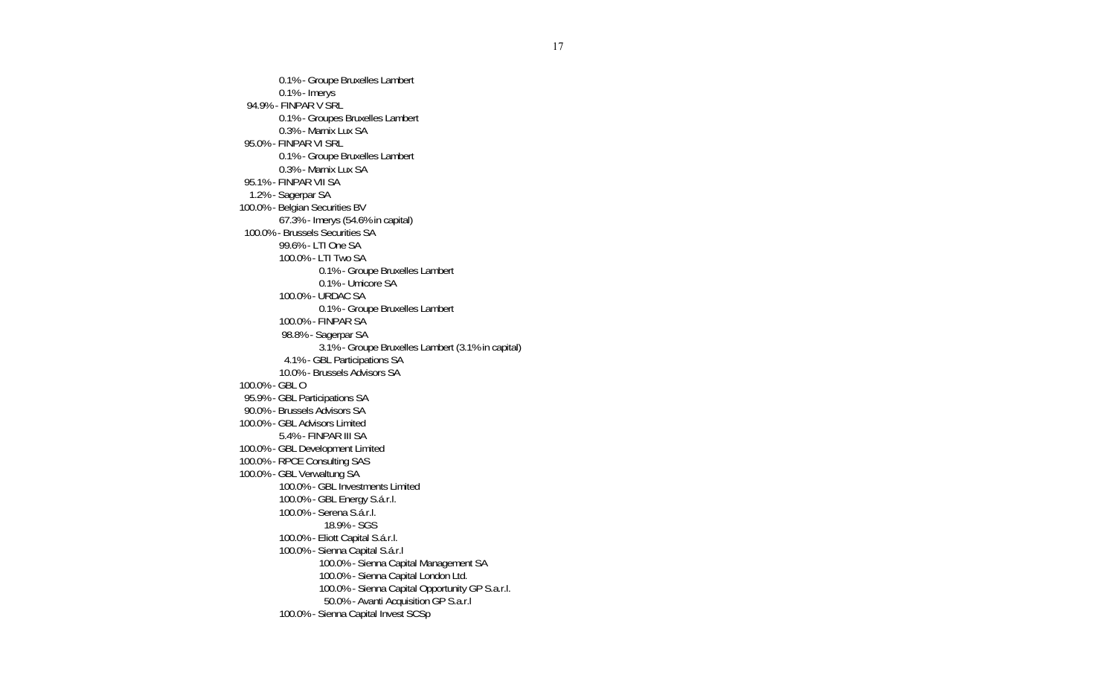0.1% - Groupe Bruxelles Lambert 0.1% - Imerys 94.9% - FINPAR V SRL 0.1% - Groupes Bruxelles Lambert 0.3% - Marnix Lux SA 95.0% - FINPAR VI SRL 0.1% - Groupe Bruxelles Lambert 0.3% - Marnix Lux SA 95.1% - FINPAR VII SA 1.2% - Sagerpar SA 100.0% - Belgian Securities BV 67.3% - Imerys (54.6% in capital) 100.0% - Brussels Securities SA 99.6% - LTI One SA 100.0% - LTI Two SA 0.1% - Groupe Bruxelles Lambert 0.1% - Umicore SA 100.0% - URDAC SA 0.1% - Groupe Bruxelles Lambert 100.0% - FINPAR SA 98.8% - Sagerpar SA 3.1% - Groupe Bruxelles Lambert (3.1% in capital) 4.1% - GBL Participations SA 10.0% - Brussels Advisors SA 100.0% - GBL O 95.9% - GBL Participations SA 90.0% - Brussels Advisors SA 100.0% - GBL Advisors Limited 5.4% - FINPAR III SA 100.0% - GBL Development Limited 100.0% - RPCE Consulting SAS 100.0% - GBL Verwaltung SA 100.0% - GBL Investments Limited 100.0% - GBL Energy S.á.r.l. 100.0% - Serena S.á.r.l. 18.9% - SGS 100.0% - Eliott Capital S.á.r.l. 100.0% - Sienna Capital S.á.r.l 100.0% - Sienna Capital Management SA 100.0% - Sienna Capital London Ltd. 100.0% - Sienna Capital Opportunity GP S.a.r.l. 50.0% - Avanti Acquisition GP S.a.r.l 100.0% - Sienna Capital Invest SCSp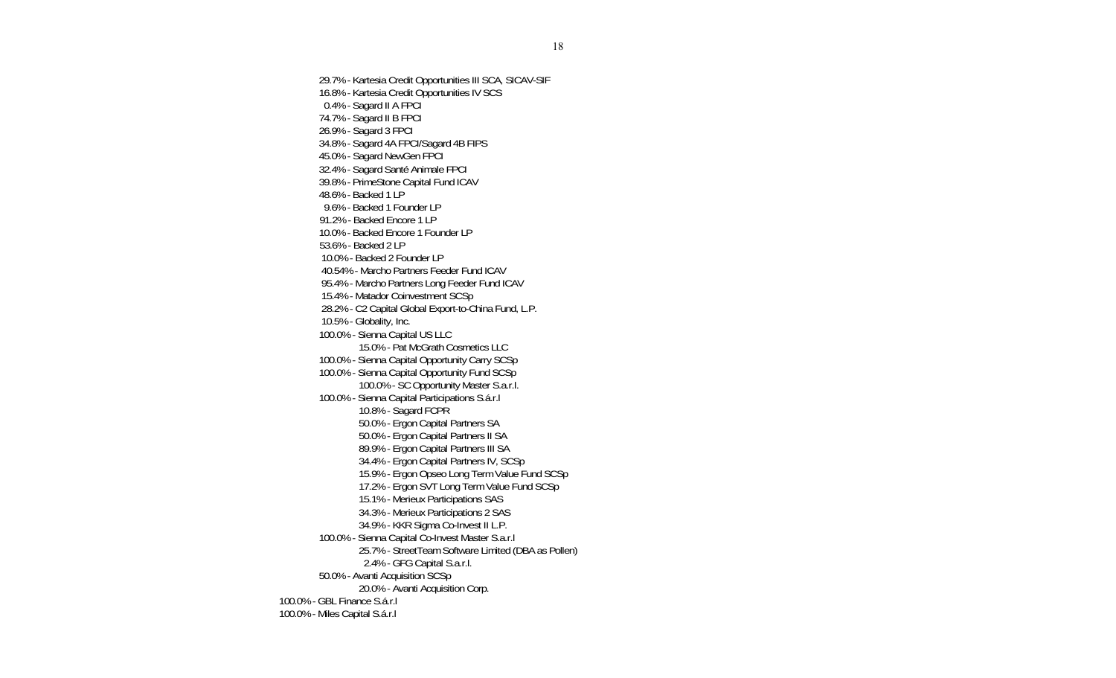29.7% - Kartesia Credit Opportunities III SCA, SICAV-SIF 16.8% - Kartesia Credit Opportunities IV SCS 0.4% - Sagard II A FPCI 74.7% - Sagard II B FPCI 26.9% - Sagard 3 FPCI 34.8% - Sagard 4A FPCI/Sagard 4B FIPS 45.0% - Sagard NewGen FPCI 32.4% - Sagard Santé Animale FPCI 39.8% - PrimeStone Capital Fund ICAV 48.6% - Backed 1 LP 9.6% - Backed 1 Founder LP 91.2% - Backed Encore 1 LP 10.0% - Backed Encore 1 Founder LP 53.6% - Backed 2 LP 10.0% - Backed 2 Founder LP 40.54% - Marcho Partners Feeder Fund ICAV 95.4% - Marcho Partners Long Feeder Fund ICAV 15.4% - Matador Coinvestment SCSp 28.2% - C2 Capital Global Export-to-China Fund, L.P. 10.5% - Globality, Inc. 100.0% - Sienna Capital US LLC 15.0% - Pat McGrath Cosmetics LLC 100.0% - Sienna Capital Opportunity Carry SCSp 100.0% - Sienna Capital Opportunity Fund SCSp 100.0% - SC Opportunity Master S.a.r.l. 100.0% - Sienna Capital Participations S.á.r.l 10.8% - Sagard FCPR 50.0% - Ergon Capital Partners SA 50.0% - Ergon Capital Partners II SA 89.9% - Ergon Capital Partners III SA 34.4% - Ergon Capital Partners IV, SCSp 15.9% - Ergon Opseo Long Term Value Fund SCSp 17.2% - Ergon SVT Long Term Value Fund SCSp 15.1% - Merieux Participations SAS 34.3% - Merieux Participations 2 SAS 34.9% - KKR Sigma Co-Invest II L.P. 100.0% - Sienna Capital Co-Invest Master S.a.r.l 25.7% - StreetTeam Software Limited (DBA as Pollen) 2.4% - GFG Capital S.a.r.l. 50.0% - Avanti Acquisition SCSp 20.0% - Avanti Acquisition Corp. 100.0% - GBL Finance S.á.r.l 100.0% - Miles Capital S.á.r.l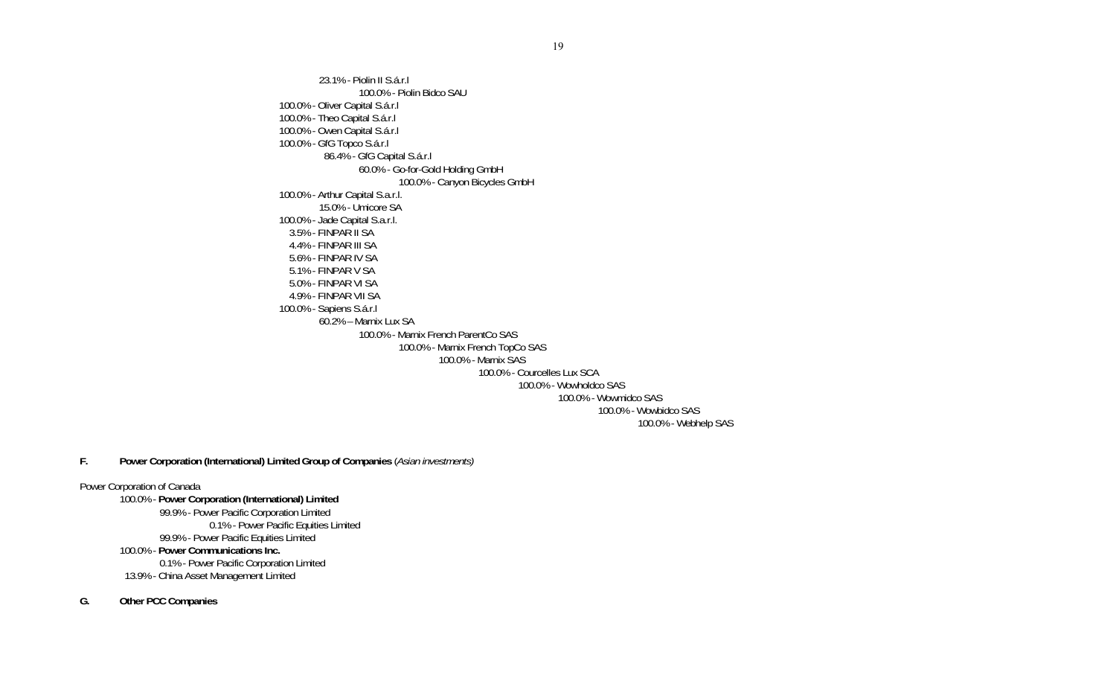23.1% - Piolin II S.á.r.l 100.0% - Piolin Bidco SAU 100.0% - Oliver Capital S.á.r.l 100.0% - Theo Capital S.á.r.l 100.0% - Owen Capital S.á.r.l 100.0% - GfG Topco S.á.r.l 86.4% - GfG Capital S.á.r.l 60.0% - Go-for-Gold Holding GmbH 100.0% - Canyon Bicycles GmbH 100.0% - Arthur Capital S.a.r.l. 15.0% - Umicore SA 100.0% - Jade Capital S.a.r.l. 3.5% - FINPAR II SA 4.4% - FINPAR III SA 5.6% - FINPAR IV SA 5.1% - FINPAR V SA 5.0% - FINPAR VI SA 4.9% - FINPAR VII SA 100.0% - Sapiens S.á.r.l 60.2% – Marnix Lux SA 100.0% - Marnix French ParentCo SAS 100.0% - Marnix French TopCo SAS 100.0% - Marnix SAS 100.0% - Courcelles Lux SCA 100.0% - Wowholdco SAS 100.0% - Wowmidco SAS 100.0% - Wowbidco SAS 100.0% - Webhelp SAS

**F. Power Corporation (International) Limited Group of Companies** (*Asian investments)* 

#### Power Corporation of Canada

100.0% - **Power Corporation (International) Limited** 99.9% - Power Pacific Corporation Limited 0.1% - Power Pacific Equities Limited 99.9% - Power Pacific Equities Limited 100.0% - **Power Communications Inc.** 0.1% - Power Pacific Corporation Limited 13.9% - China Asset Management Limited

## **G. Other PCC Companies**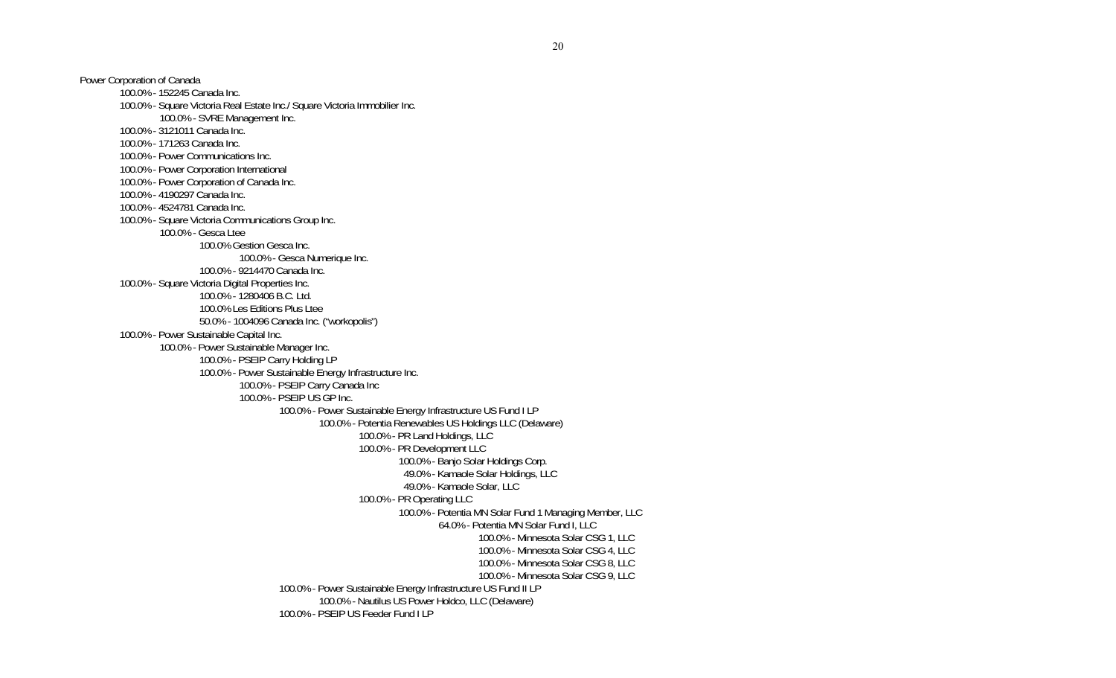Power Corporation of Canada 100.0% - 152245 Canada Inc. 100.0% - Square Victoria Real Estate Inc./ Square Victoria Immobilier Inc. 100.0% - SVRE Management Inc. 100.0% - 3121011 Canada Inc. 100.0% - 171263 Canada Inc. 100.0% - Power Communications Inc. 100.0% - Power Corporation International 100.0% - Power Corporation of Canada Inc. 100.0% - 4190297 Canada Inc. 100.0% - 4524781 Canada Inc. 100.0% - Square Victoria Communications Group Inc. 100.0% - Gesca Ltee 100.0% Gestion Gesca Inc. 100.0% - Gesca Numerique Inc. 100.0% - 9214470 Canada Inc. 100.0% - Square Victoria Digital Properties Inc. 100.0% - 1280406 B.C. Ltd. 100.0% Les Editions Plus Ltee 50.0% - 1004096 Canada Inc. ("workopolis") 100.0% - Power Sustainable Capital Inc. 100.0% - Power Sustainable Manager Inc. 100.0% - PSEIP Carry Holding LP 100.0% - Power Sustainable Energy Infrastructure Inc. 100.0% - PSEIP Carry Canada Inc 100.0% - PSEIP US GP Inc. 100.0% - Power Sustainable Energy Infrastructure US Fund I LP 100.0% - Potentia Renewables US Holdings LLC (Delaware) 100.0% - PR Land Holdings, LLC 100.0% - PR Development LLC 100.0% - Banjo Solar Holdings Corp. 49.0% - Kamaole Solar Holdings, LLC 49.0% - Kamaole Solar, LLC 100.0% - PR Operating LLC 100.0% - Potentia MN Solar Fund 1 Managing Member, LLC 64.0% - Potentia MN Solar Fund I, LLC 100.0% - Minnesota Solar CSG 1, LLC 100.0% - Minnesota Solar CSG 4, LLC 100.0% - Minnesota Solar CSG 8, LLC 100.0% - Minnesota Solar CSG 9, LLC 100.0% - Power Sustainable Energy Infrastructure US Fund II LP 100.0% - Nautilus US Power Holdco, LLC (Delaware) 100.0% - PSEIP US Feeder Fund I LP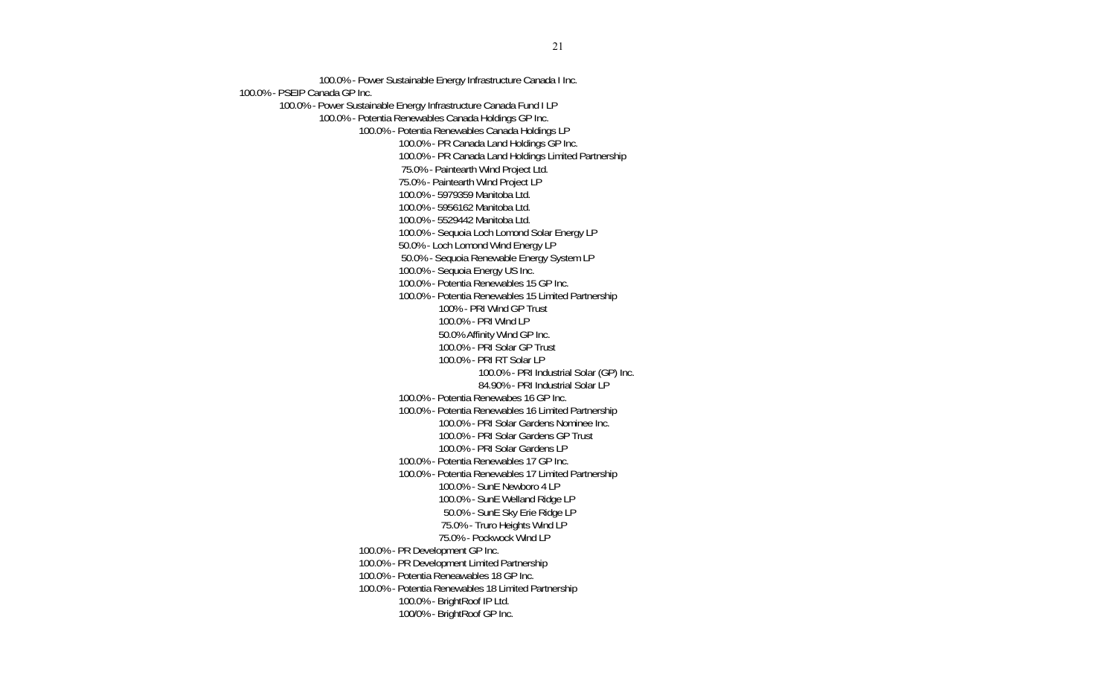100.0% - Power Sustainable Energy Infrastructure Canada I Inc. 100.0% - PSEIP Canada GP Inc. 100.0% - Power Sustainable Energy Infrastructure Canada Fund I LP 100.0% - Potentia Renewables Canada Holdings GP Inc. 100.0% - Potentia Renewables Canada Holdings LP 100.0% - PR Canada Land Holdings GP Inc. 100.0% - PR Canada Land Holdings Limited Partnership 75.0% - Paintearth Wind Project Ltd. 75.0% - Paintearth Wind Project LP 100.0% - 5979359 Manitoba Ltd. 100.0% - 5956162 Manitoba Ltd. 100.0% - 5529442 Manitoba Ltd. 100.0% - Sequoia Loch Lomond Solar Energy LP 50.0% - Loch Lomond Wind Energy LP 50.0% - Sequoia Renewable Energy System LP 100.0% - Sequoia Energy US Inc. 100.0% - Potentia Renewables 15 GP Inc. 100.0% - Potentia Renewables 15 Limited Partnership 100% - PRI Wind GP Trust  $100.0\%$  - PRI Wind LP 50.0% Affinity Wind GP Inc. 100.0% - PRI Solar GP Trust 100.0% - PRI RT Solar LP 100.0% - PRI Industrial Solar (GP) Inc. 84.90% - PRI Industrial Solar LP 100.0% - Potentia Renewabes 16 GP Inc. 100.0% - Potentia Renewables 16 Limited Partnership 100.0% - PRI Solar Gardens Nominee Inc. 100.0% - PRI Solar Gardens GP Trust 100.0% - PRI Solar Gardens LP 100.0% - Potentia Renewables 17 GP Inc. 100.0% - Potentia Renewables 17 Limited Partnership 100.0% - SunE Newboro 4 LP 100.0% - SunE Welland Ridge LP 50.0% - SunE Sky Erie Ridge LP 75.0% - Truro Heights Wind LP 75.0% - Pockwock Wind LP 100.0% - PR Development GP Inc. 100.0% - PR Development Limited Partnership 100.0% - Potentia Reneawables 18 GP Inc. 100.0% - Potentia Renewables 18 Limited Partnership 100.0% - BrightRoof IP Ltd. 100/0% - BrightRoof GP Inc.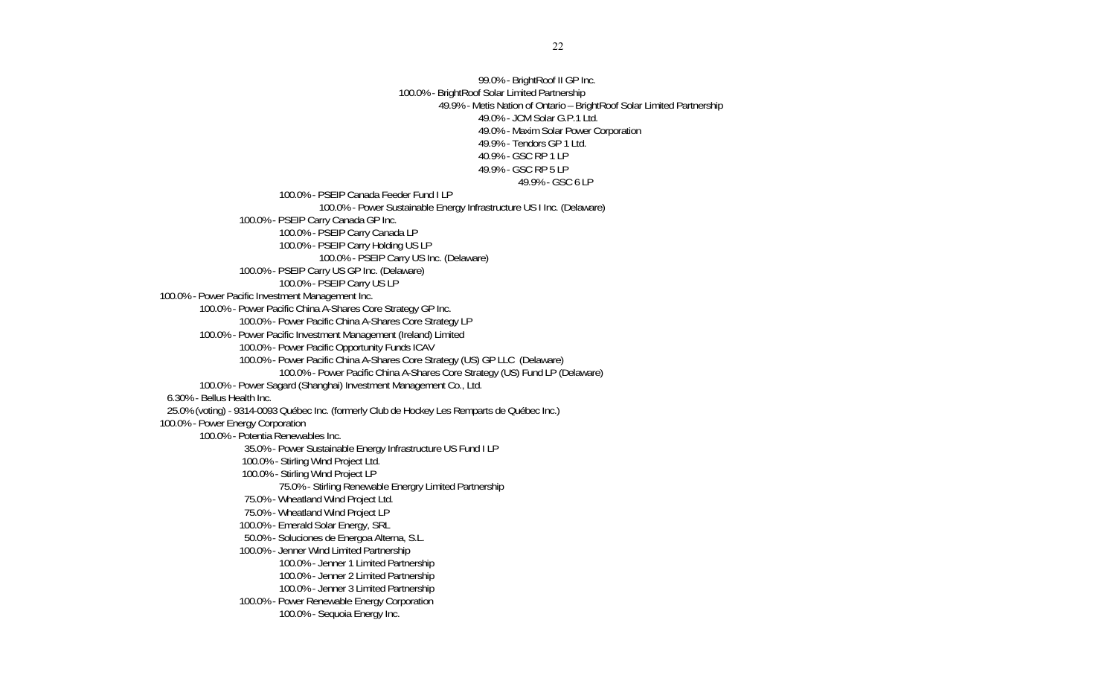99.0% - BrightRoof II GP Inc. 100.0% - BrightRoof Solar Limited Partnership 49.9% - Metis Nation of Ontario – BrightRoof Solar Limited Partnership 49.0% - JCM Solar G.P.1 Ltd. 49.0% - Maxim Solar Power Corporation 49.9% - Tendors GP 1 Ltd. 40.9% - GSC RP 1 LP 49.9% - GSC RP 5 LP 49.9% - GSC 6 LP 100.0% - PSEIP Canada Feeder Fund I LP 100.0% - Power Sustainable Energy Infrastructure US I Inc. (Delaware) 100.0% - PSEIP Carry Canada GP Inc. 100.0% - PSEIP Carry Canada LP 100.0% - PSEIP Carry Holding US LP 100.0% - PSEIP Carry US Inc. (Delaware) 100.0% - PSEIP Carry US GP Inc. (Delaware) 100.0% - PSEIP Carry US LP 100.0% - Power Pacific Investment Management Inc. 100.0% - Power Pacific China A-Shares Core Strategy GP Inc. 100.0% - Power Pacific China A-Shares Core Strategy LP 100.0% - Power Pacific Investment Management (Ireland) Limited 100.0% - Power Pacific Opportunity Funds ICAV 100.0% - Power Pacific China A-Shares Core Strategy (US) GP LLC (Delaware) 100.0% - Power Pacific China A-Shares Core Strategy (US) Fund LP (Delaware) 100.0% - Power Sagard (Shanghai) Investment Management Co., Ltd. 6.30% - Bellus Health Inc. 25.0% (voting) - 9314-0093 Québec Inc. (formerly Club de Hockey Les Remparts de Québec Inc.) 100.0% - Power Energy Corporation 100.0% - Potentia Renewables Inc. 35.0% - Power Sustainable Energy Infrastructure US Fund I LP 100.0% - Stirling Wind Project Ltd. 100.0% - Stirling Wind Project LP 75.0% - Stirling Renewable Energry Limited Partnership 75.0% - Wheatland Wind Project Ltd. 75.0% - Wheatland Wind Project LP 100.0% - Emerald Solar Energy, SRL 50.0% - Soluciones de Energoa Alterna, S.L. 100.0% - Jenner Wind Limited Partnership 100.0% - Jenner 1 Limited Partnership 100.0% - Jenner 2 Limited Partnership 100.0% - Jenner 3 Limited Partnership 100.0% - Power Renewable Energy Corporation 100.0% - Sequoia Energy Inc.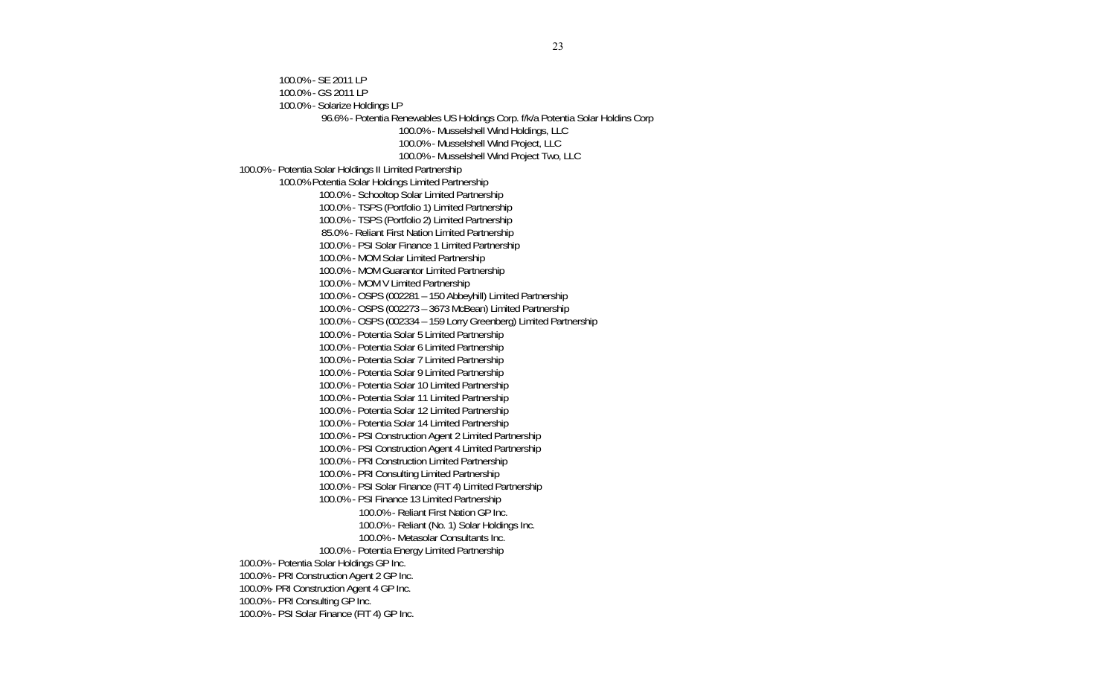100.0% - SE 2011 LP 100.0% - GS 2011 LP 100.0% - Solarize Holdings LP 96.6% - Potentia Renewables US Holdings Corp. f/k/a Potentia Solar Holdins Corp 100.0% - Musselshell Wind Holdings, LLC 100.0% - Musselshell Wind Project, LLC 100.0% - Musselshell Wind Project Two, LLC 100.0% - Potentia Solar Holdings II Limited Partnership 100.0% Potentia Solar Holdings Limited Partnership 100.0% - Schooltop Solar Limited Partnership 100.0% - TSPS (Portfolio 1) Limited Partnership 100.0% - TSPS (Portfolio 2) Limited Partnership 85.0% - Reliant First Nation Limited Partnership 100.0% - PSI Solar Finance 1 Limited Partnership 100.0% - MOM Solar Limited Partnership 100.0% - MOM Guarantor Limited Partnership 100.0% - MOM V Limited Partnership 100.0% - OSPS (002281 – 150 Abbeyhill) Limited Partnership 100.0% - OSPS (002273 – 3673 McBean) Limited Partnership 100.0% - OSPS (002334 – 159 Lorry Greenberg) Limited Partnership 100.0% - Potentia Solar 5 Limited Partnership 100.0% - Potentia Solar 6 Limited Partnership 100.0% - Potentia Solar 7 Limited Partnership 100.0% - Potentia Solar 9 Limited Partnership 100.0% - Potentia Solar 10 Limited Partnership 100.0% - Potentia Solar 11 Limited Partnership 100.0% - Potentia Solar 12 Limited Partnership 100.0% - Potentia Solar 14 Limited Partnership 100.0% - PSI Construction Agent 2 Limited Partnership 100.0% - PSI Construction Agent 4 Limited Partnership 100.0% - PRI Construction Limited Partnership 100.0% - PRI Consulting Limited Partnership 100.0% - PSI Solar Finance (FIT 4) Limited Partnership 100.0% - PSI Finance 13 Limited Partnership 100.0% - Reliant First Nation GP Inc. 100.0% - Reliant (No. 1) Solar Holdings Inc. 100.0% - Metasolar Consultants Inc. 100.0% - Potentia Energy Limited Partnership 100.0% - Potentia Solar Holdings GP Inc. 100.0% - PRI Construction Agent 2 GP Inc. 100.0%- PRI Construction Agent 4 GP Inc. 100.0% - PRI Consulting GP Inc. 100.0% - PSI Solar Finance (FIT 4) GP Inc.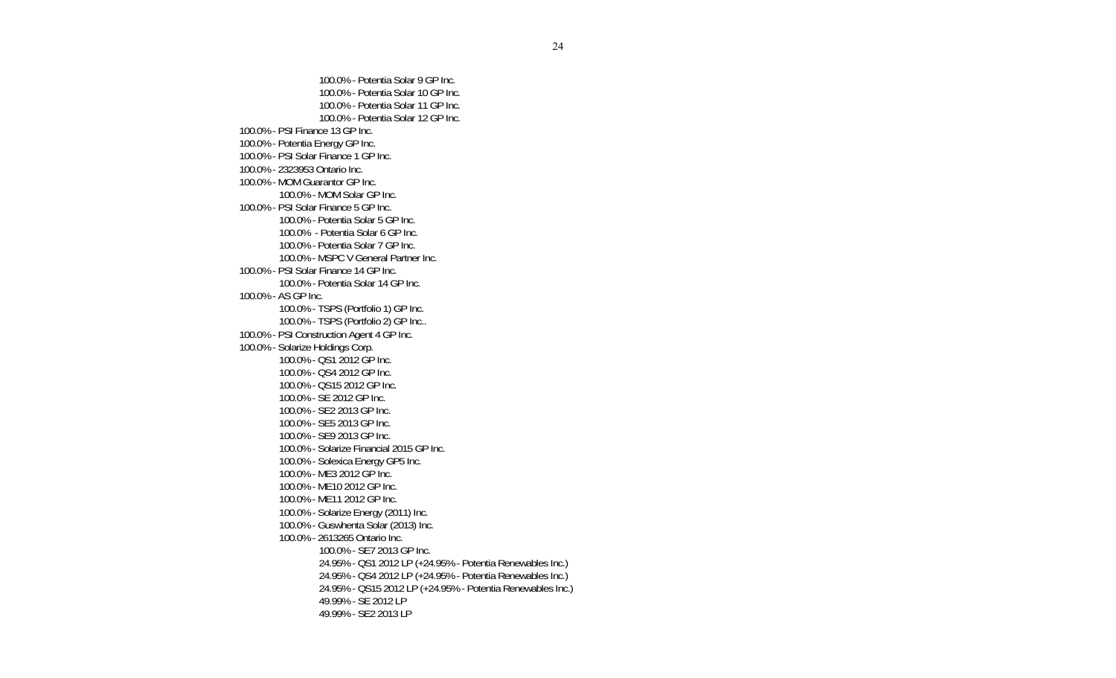100.0% - Potentia Solar 9 GP Inc. 100.0% - Potentia Solar 10 GP Inc. 100.0% - Potentia Solar 11 GP Inc. 100.0% - Potentia Solar 12 GP Inc. 100.0% - PSI Finance 13 GP Inc. 100.0% - Potentia Energy GP Inc. 100.0% - PSI Solar Finance 1 GP Inc. 100.0% - 2323953 Ontario Inc. 100.0% - MOM Guarantor GP Inc. 100.0% - MOM Solar GP Inc. 100.0% - PSI Solar Finance 5 GP Inc. 100.0% - Potentia Solar 5 GP Inc. 100.0% - Potentia Solar 6 GP Inc. 100.0% - Potentia Solar 7 GP Inc. 100.0% - MSPC V General Partner Inc. 100.0% - PSI Solar Finance 14 GP Inc. 100.0% - Potentia Solar 14 GP Inc. 100.0% - AS GP Inc. 100.0% - TSPS (Portfolio 1) GP Inc. 100.0% - TSPS (Portfolio 2) GP Inc.. 100.0% - PSI Construction Agent 4 GP Inc. 100.0% - Solarize Holdings Corp. 100.0% - QS1 2012 GP Inc. 100.0% - QS4 2012 GP Inc. 100.0% - QS15 2012 GP Inc. 100.0% - SE 2012 GP Inc. 100.0% - SE2 2013 GP Inc. 100.0% - SE5 2013 GP Inc. 100.0% - SE9 2013 GP Inc. 100.0% - Solarize Financial 2015 GP Inc. 100.0% - Solexica Energy GP5 Inc. 100.0% - ME3 2012 GP Inc. 100.0% - ME10 2012 GP Inc. 100.0% - ME11 2012 GP Inc. 100.0% - Solarize Energy (2011) Inc. 100.0% - Guswhenta Solar (2013) Inc. 100.0% - 2613265 Ontario Inc. 100.0% - SE7 2013 GP Inc. 24.95% - QS1 2012 LP (+24.95% - Potentia Renewables Inc.) 24.95% - QS4 2012 LP (+24.95% - Potentia Renewables Inc.) 24.95% - QS15 2012 LP (+24.95% - Potentia Renewables Inc.) 49.99% - SE 2012 LP 49.99% - SE2 2013 LP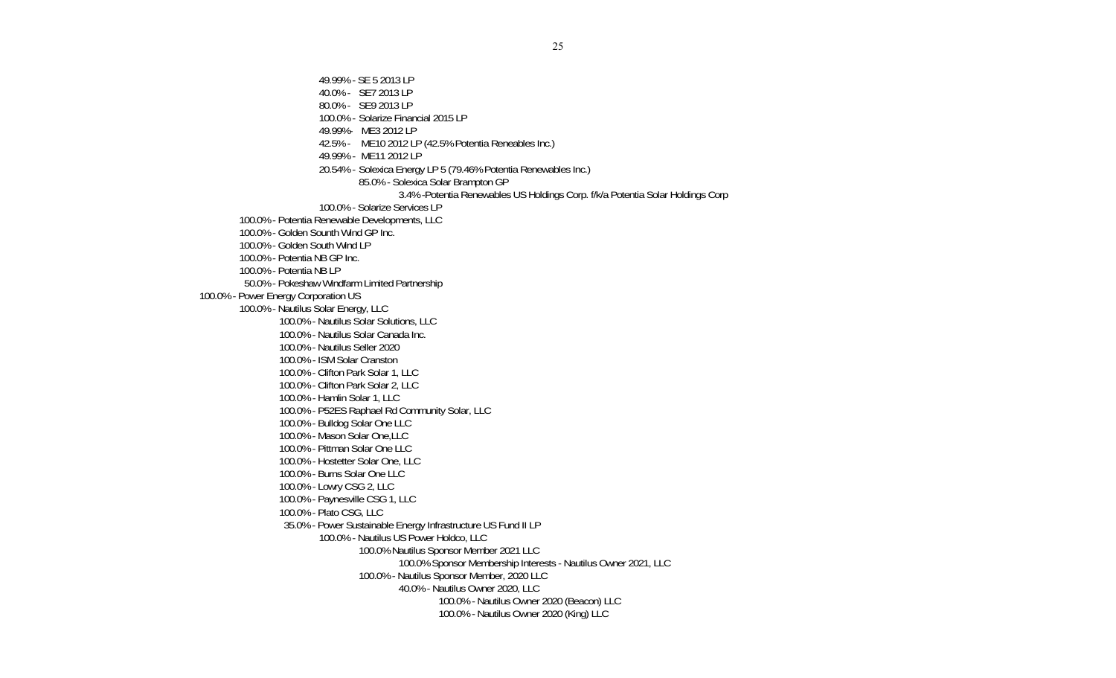49.99% - SE 5 2013 LP 40.0% - SE7 2013 LP 80.0% - SE9 2013 LP 100.0% - Solarize Financial 2015 LP 49.99%- ME3 2012 LP 42.5% - ME10 2012 LP (42.5% Potentia Reneables Inc.) 49.99% - ME11 2012 LP 20.54% - Solexica Energy LP 5 (79.46% Potentia Renewables Inc.) 85.0% - Solexica Solar Brampton GP 3.4% -Potentia Renewables US Holdings Corp. f/k/a Potentia Solar Holdings Corp 100.0% - Solarize Services LP 100.0% - Potentia Renewable Developments, LLC 100.0% - Golden Sounth Wind GP Inc. 100.0% - Golden South Wind LP 100.0% - Potentia NB GP Inc. 100.0% - Potentia NB LP 50.0% - Pokeshaw Windfarm Limited Partnership 100.0% - Power Energy Corporation US 100.0% - Nautilus Solar Energy, LLC 100.0% - Nautilus Solar Solutions, LLC 100.0% - Nautilus Solar Canada Inc. 100.0% - Nautilus Seller 2020 100.0% - ISM Solar Cranston 100.0% - Clifton Park Solar 1, LLC 100.0% - Clifton Park Solar 2, LLC 100.0% - Hamlin Solar 1, LLC 100.0% - P52ES Raphael Rd Community Solar, LLC 100.0% - Bulldog Solar One LLC 100.0% - Mason Solar One,LLC 100.0% - Pittman Solar One LLC 100.0% - Hostetter Solar One, LLC 100.0% - Burns Solar One LLC 100.0% - Lowry CSG 2, LLC 100.0% - Paynesville CSG 1, LLC 100.0% - Plato CSG, LLC 35.0% - Power Sustainable Energy Infrastructure US Fund II LP 100.0% - Nautilus US Power Holdco, LLC 100.0% Nautilus Sponsor Member 2021 LLC 100.0% Sponsor Membership Interests - Nautilus Owner 2021, LLC 100.0% - Nautilus Sponsor Member, 2020 LLC 40.0% - Nautilus Owner 2020, LLC 100.0% - Nautilus Owner 2020 (Beacon) LLC 100.0% - Nautilus Owner 2020 (King) LLC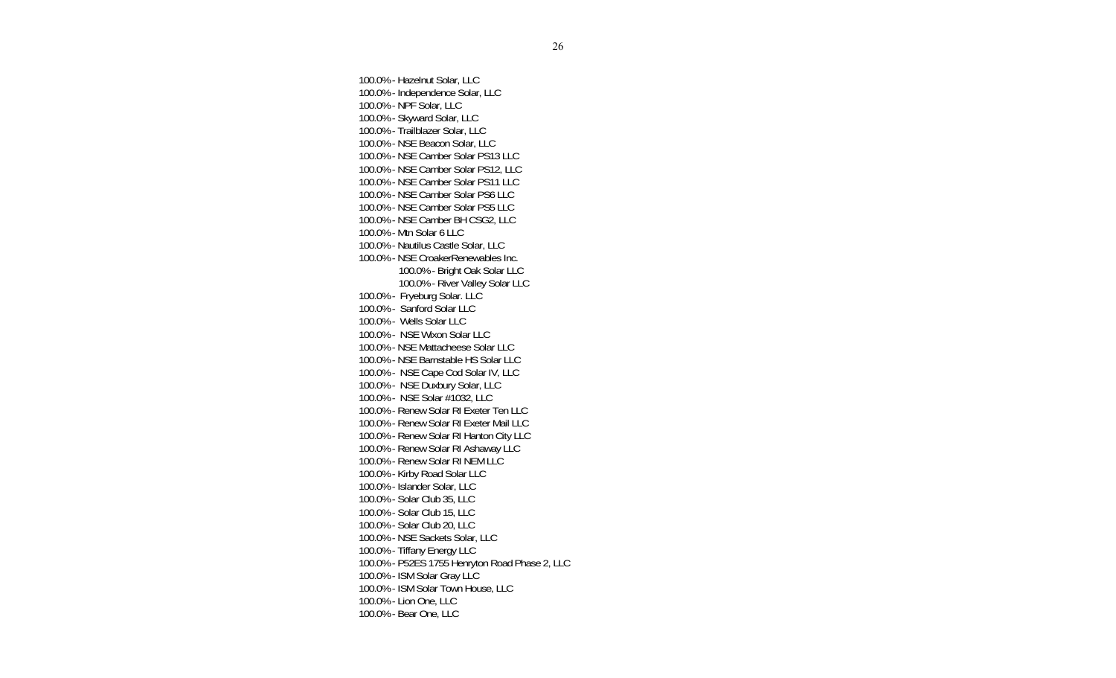100.0% - Hazelnut Solar, LLC 100.0% - Independence Solar, LLC 100.0% - NPF Solar, LLC 100.0% - Skyward Solar, LLC 100.0% - Trailblazer Solar, LLC 100.0% - NSE Beacon Solar, LLC 100.0% - NSE Camber Solar PS13 LLC 100.0% - NSE Camber Solar PS12, LLC 100.0% - NSE Camber Solar PS11 LLC 100.0% - NSE Camber Solar PS6 LLC 100.0% - NSE Camber Solar PS5 LLC 100.0% - NSE Camber BH CSG2, LLC 100.0% - Mtn Solar 6 LLC 100.0% - Nautilus Castle Solar, LLC 100.0% - NSE CroakerRenewables Inc. 100.0% - Bright Oak Solar LLC 100.0% - River Valley Solar LLC 100.0% - Fryeburg Solar. LLC 100.0% - Sanford Solar LLC 100.0% - Wells Solar LLC 100.0% - NSE Wixon Solar LLC 100.0% - NSE Mattacheese Solar LLC 100.0% - NSE Barnstable HS Solar LLC 100.0% - NSE Cape Cod Solar IV, LLC 100.0% - NSE Duxbury Solar, LLC 100.0% - NSE Solar #1032, LLC 100.0% - Renew Solar RI Exeter Ten LLC 100.0% - Renew Solar RI Exeter Mail LLC 100.0% - Renew Solar RI Hanton City LLC 100.0% - Renew Solar RI Ashaway LLC 100.0% - Renew Solar RI NEM LLC 100.0% - Kirby Road Solar LLC 100.0% - Islander Solar, LLC 100.0% - Solar Club 35, LLC 100.0% - Solar Club 15, LLC 100.0% - Solar Club 20, LLC 100.0% - NSE Sackets Solar, LLC 100.0% - Tiffany Energy LLC 100.0% - P52ES 1755 Henryton Road Phase 2, LLC 100.0% - ISM Solar Gray LLC 100.0% - ISM Solar Town House, LLC 100.0% - Lion One, LLC 100.0% - Bear One, LLC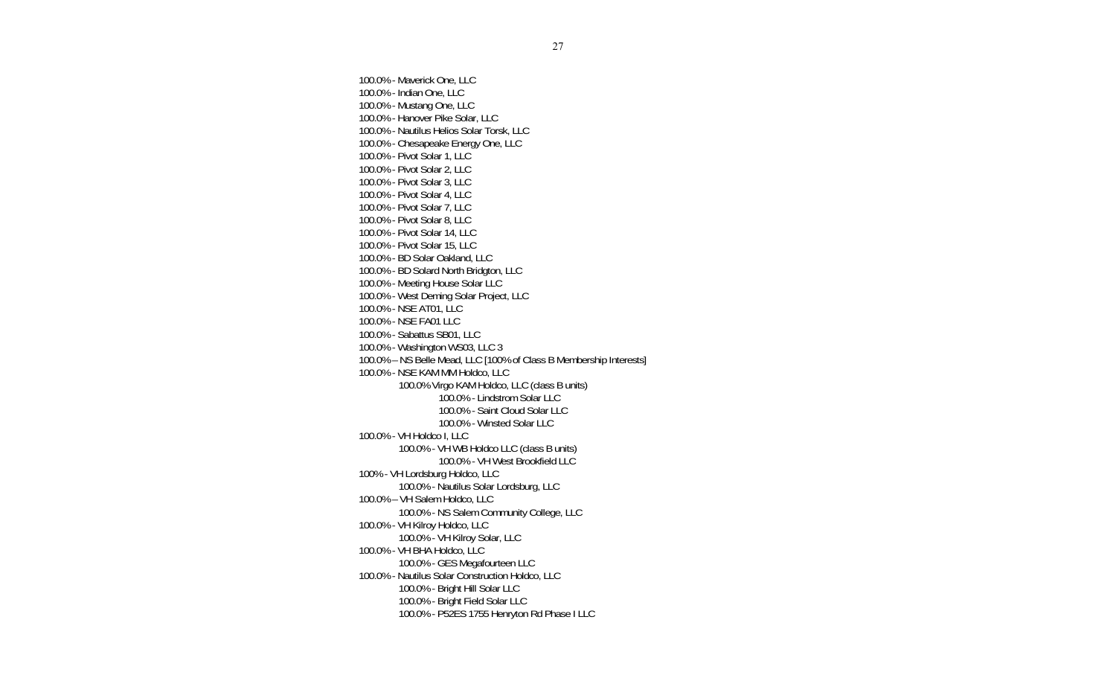100.0% - Maverick One, LLC 100.0% - Indian One, LLC 100.0% - Mustang One, LLC 100.0% - Hanover Pike Solar, LLC 100.0% - Nautilus Helios Solar Torsk, LLC 100.0% - Chesapeake Energy One, LLC 100.0% - Pivot Solar 1, LLC 100.0% - Pivot Solar 2, LLC 100.0% - Pivot Solar 3, LLC 100.0% - Pivot Solar 4, LLC 100.0% - Pivot Solar 7, LLC 100.0% - Pivot Solar 8, LLC 100.0% - Pivot Solar 14, LLC 100.0% - Pivot Solar 15, LLC 100.0% - BD Solar Oakland, LLC 100.0% - BD Solard North Bridgton, LLC 100.0% - Meeting House Solar LLC 100.0% - West Deming Solar Project, LLC 100.0% - NSE AT01, LLC 100.0% - NSE FA01 LLC 100.0% - Sabattus SB01, LLC 100.0% - Washington WS03, LLC 3 100.0% – NS Belle Mead, LLC [100% of Class B Membership Interests] 100.0% - NSE KAM MM Holdco, LLC 100.0% Virgo KAM Holdco, LLC (class B units) 100.0% - Lindstrom Solar LLC 100.0% - Saint Cloud Solar LLC 100.0% - Winsted Solar LLC 100.0% - VH Holdco I, LLC 100.0% - VH WB Holdco LLC (class B units) 100.0% - VH West Brookfield LLC 100% - VH Lordsburg Holdco, LLC 100.0% - Nautilus Solar Lordsburg, LLC 100.0% – VH Salem Holdco, LLC 100.0% - NS Salem Community College, LLC 100.0% - VH Kilroy Holdco, LLC 100.0% - VH Kilroy Solar, LLC 100.0% - VH BHA Holdco, LLC 100.0% - GES Megafourteen LLC 100.0% - Nautilus Solar Construction Holdco, LLC 100.0% - Bright Hill Solar LLC 100.0% - Bright Field Solar LLC 100.0% - P52ES 1755 Henryton Rd Phase I LLC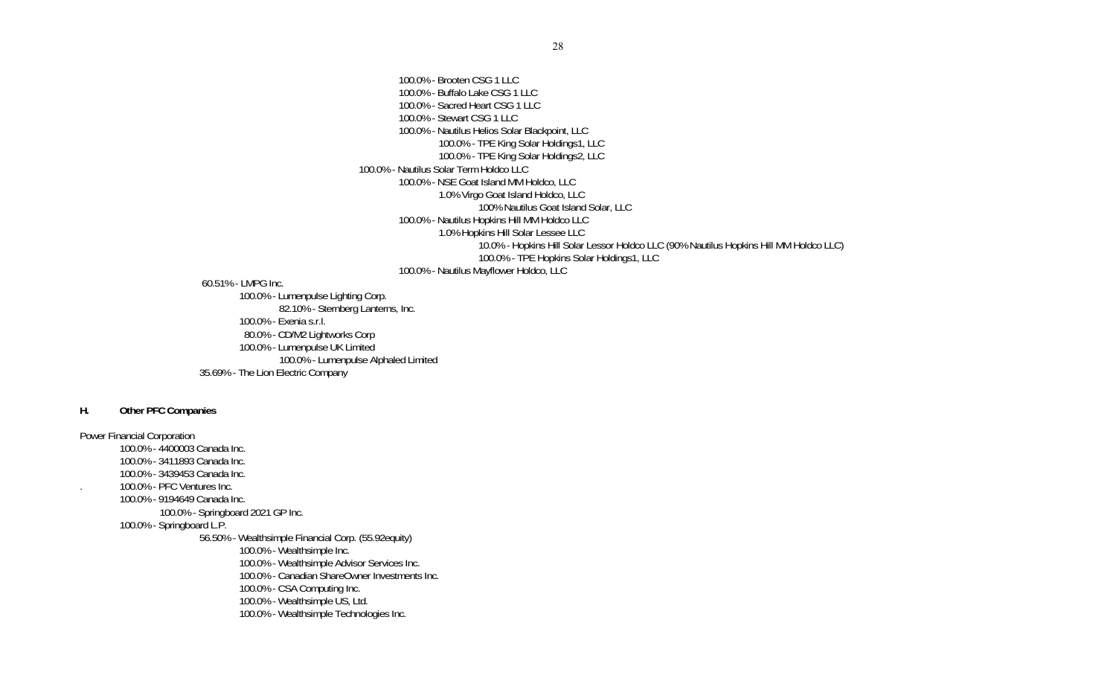100.0% - Brooten CSG 1 LLC 100.0% - Buffalo Lake CSG 1 LLC 100.0% - Sacred Heart CSG 1 LLC 100.0% - Stewart CSG 1 LLC 100.0% - Nautilus Helios Solar Blackpoint, LLC 100.0% - TPE King Solar Holdings1, LLC 100.0% - TPE King Solar Holdings2, LLC 100.0% - Nautilus Solar Term Holdco LLC 100.0% - NSE Goat Island MM Holdco, LLC 1.0% Virgo Goat Island Holdco, LLC 100% Nautilus Goat Island Solar, LLC 100.0% - Nautilus Hopkins Hill MM Holdco LLC 1.0% Hopkins Hill Solar Lessee LLC 10.0% - Hopkins Hill Solar Lessor Holdco LLC (90% Nautilus Hopkins Hill MM Holdco LLC) 100.0% - TPE Hopkins Solar Holdings1, LLC 100.0% - Nautilus Mayflower Holdco, LLC

60.51% - LMPG Inc.

 100.0% - Lumenpulse Lighting Corp. 82.10% - Sternberg Lanterns, Inc. 100.0% - Exenia s.r.l. 80.0% - CD/M2 Lightworks Corp 100.0% - Lumenpulse UK Limited 100.0% - Lumenpulse Alphaled Limited 35.69% - The Lion Electric Company

### **H. Other PFC Companies**

Power Financial Corporation 100.0% - 4400003 Canada Inc. 100.0% - 3411893 Canada Inc. 100.0% - 3439453 Canada Inc. . 100.0% - PFC Ventures Inc. 100.0% - 9194649 Canada Inc. 100.0% - Springboard 2021 GP Inc. 100.0% - Springboard L.P. 56.50% - Wealthsimple Financial Corp. (55.92equity) 100.0% - Wealthsimple Inc. 100.0% - Wealthsimple Advisor Services Inc. 100.0% - Canadian ShareOwner Investments Inc. 100.0% - CSA Computing Inc. 100.0% - Wealthsimple US, Ltd. 100.0% - Wealthsimple Technologies Inc.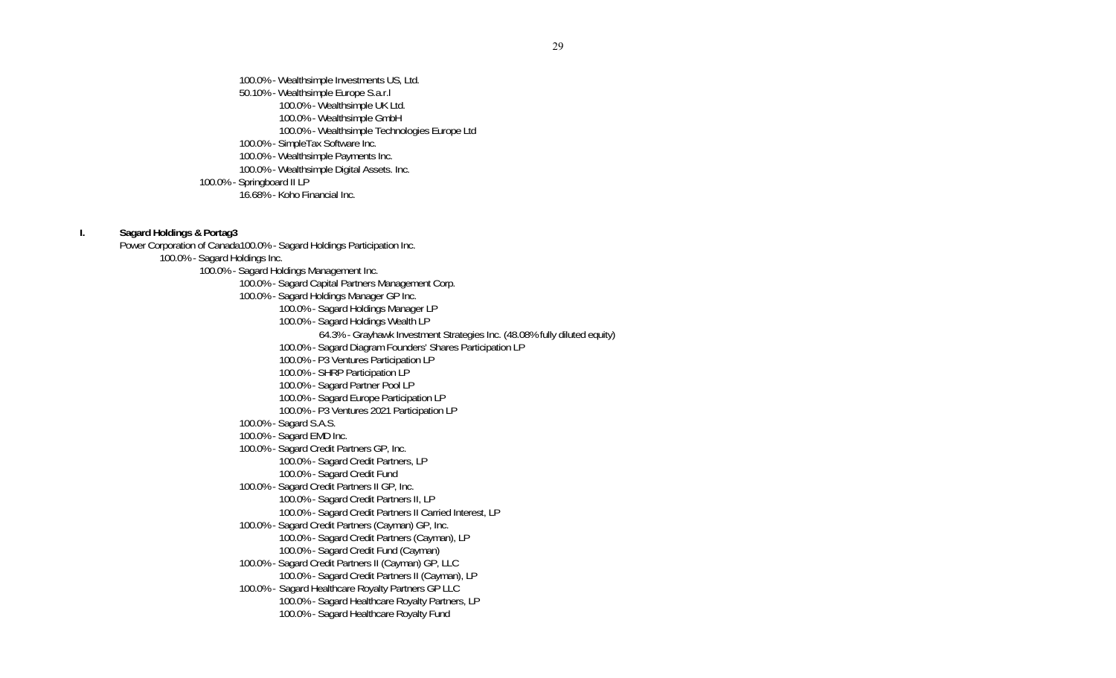100.0% - Wealthsimple Investments US, Ltd. 50.10% - Wealthsimple Europe S.a.r.l 100.0% - Wealthsimple UK Ltd. 100.0% - Wealthsimple GmbH 100.0% - Wealthsimple Technologies Europe Ltd 100.0% - SimpleTax Software Inc. 100.0% - Wealthsimple Payments Inc. 100.0% - Wealthsimple Digital Assets. Inc. 100.0% - Springboard II LP 16.68% - Koho Financial Inc.

**I. Sagard Holdings & Portag3** 

Power Corporation of Canada100.0% - Sagard Holdings Participation Inc. 100.0% - Sagard Holdings Inc. 100.0% - Sagard Holdings Management Inc. 100.0% - Sagard Capital Partners Management Corp. 100.0% - Sagard Holdings Manager GP Inc. 100.0% - Sagard Holdings Manager LP 100.0% - Sagard Holdings Wealth LP 64.3% - Grayhawk Investment Strategies Inc. (48.08% fully diluted equity) 100.0% - Sagard Diagram Founders' Shares Participation LP 100.0% - P3 Ventures Participation LP 100.0% - SHRP Participation LP 100.0% - Sagard Partner Pool LP 100.0% - Sagard Europe Participation LP 100.0% - P3 Ventures 2021 Participation LP 100.0% - Sagard S.A.S. 100.0% - Sagard EMD Inc. 100.0% - Sagard Credit Partners GP, Inc. 100.0% - Sagard Credit Partners, LP 100.0% - Sagard Credit Fund 100.0% - Sagard Credit Partners II GP, Inc. 100.0% - Sagard Credit Partners II, LP 100.0% - Sagard Credit Partners II Carried Interest, LP 100.0% - Sagard Credit Partners (Cayman) GP, Inc. 100.0% - Sagard Credit Partners (Cayman), LP 100.0% - Sagard Credit Fund (Cayman) 100.0% - Sagard Credit Partners II (Cayman) GP, LLC 100.0% - Sagard Credit Partners II (Cayman), LP 100.0% - Sagard Healthcare Royalty Partners GP LLC 100.0% - Sagard Healthcare Royalty Partners, LP 100.0% - Sagard Healthcare Royalty Fund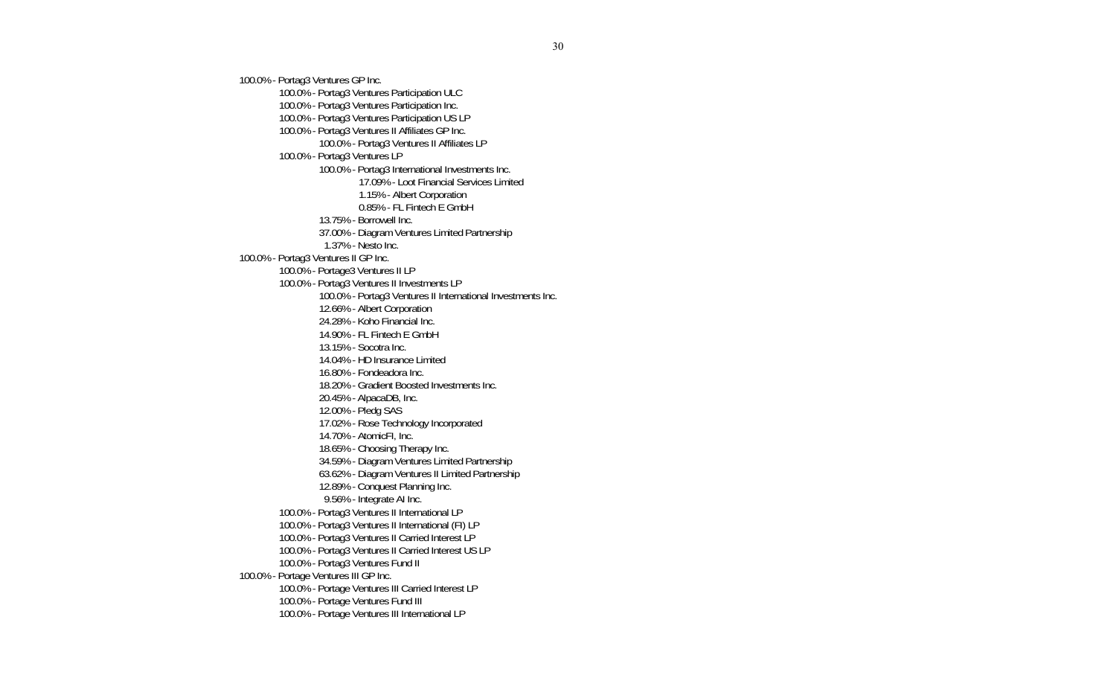100.0% - Portag3 Ventures GP Inc. 100.0% - Portag3 Ventures Participation ULC 100.0% - Portag3 Ventures Participation Inc. 100.0% - Portag3 Ventures Participation US LP 100.0% - Portag3 Ventures II Affiliates GP Inc. 100.0% - Portag3 Ventures II Affiliates LP 100.0% - Portag3 Ventures LP 100.0% - Portag3 International Investments Inc. 17.09% - Loot Financial Services Limited 1.15% - Albert Corporation 0.85% - FL Fintech E GmbH 13.75% - Borrowell Inc. 37.00% - Diagram Ventures Limited Partnership 1.37% - Nesto Inc. 100.0% - Portag3 Ventures II GP Inc. 100.0% - Portage3 Ventures II LP 100.0% - Portag3 Ventures II Investments LP 100.0% - Portag3 Ventures II International Investments Inc. 12.66% - Albert Corporation 24.28% - Koho Financial Inc. 14.90% - FL Fintech E GmbH 13.15% - Socotra Inc. 14.04% - HD Insurance Limited 16.80% - Fondeadora Inc. 18.20% - Gradient Boosted Investments Inc. 20.45% - AlpacaDB, Inc. 12.00% - Pledg SAS 17.02% - Rose Technology Incorporated 14.70% - AtomicFI, Inc. 18.65% - Choosing Therapy Inc. 34.59% - Diagram Ventures Limited Partnership 63.62% - Diagram Ventures II Limited Partnership 12.89% - Conquest Planning Inc. 9.56% - Integrate AI Inc. 100.0% - Portag3 Ventures II International LP 100.0% - Portag3 Ventures II International (FI) LP 100.0% - Portag3 Ventures II Carried Interest LP 100.0% - Portag3 Ventures II Carried Interest US LP 100.0% - Portag3 Ventures Fund II 100.0% - Portage Ventures III GP Inc. 100.0% - Portage Ventures III Carried Interest LP 100.0% - Portage Ventures Fund III 100.0% - Portage Ventures III International LP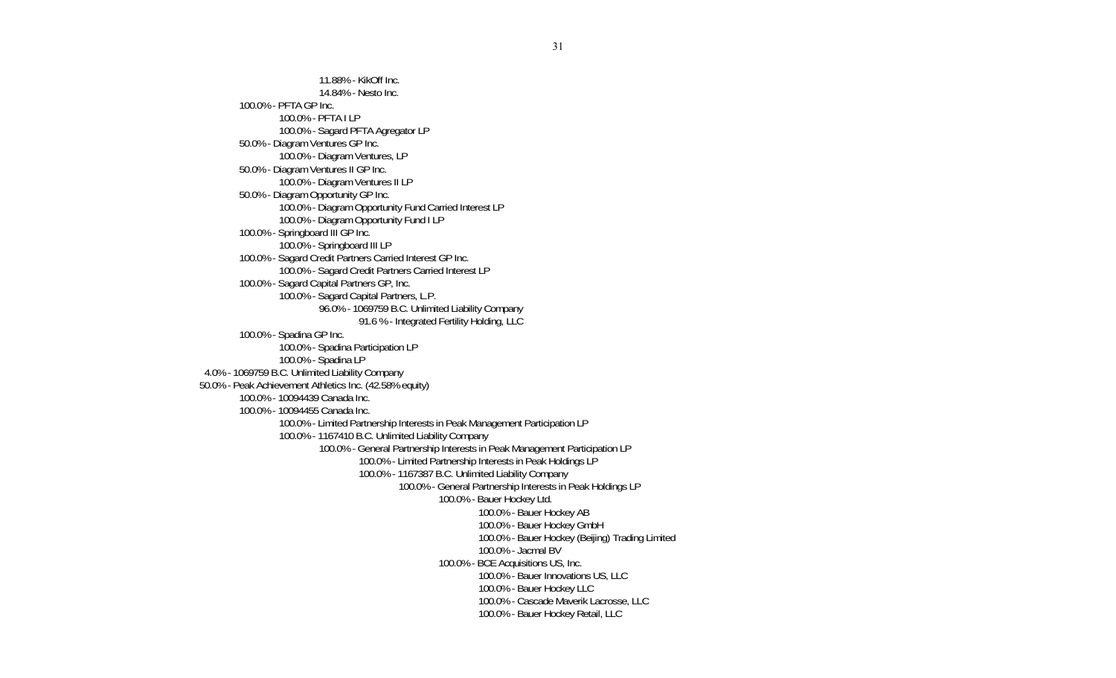11.88% - KikOff Inc. 14.84% - Nesto Inc. 100.0% - PFTA GP Inc. 100.0% - PFTA I LP 100.0% - Sagard PFTA Agregator LP 50.0% - Diagram Ventures GP Inc. 100.0% - Diagram Ventures, LP 50.0% - Diagram Ventures II GP Inc. 100.0% - Diagram Ventures II LP 50.0% - Diagram Opportunity GP Inc. 100.0% - Diagram Opportunity Fund Carried Interest LP 100.0% - Diagram Opportunity Fund I LP 100.0% - Springboard III GP Inc. 100.0% - Springboard III LP 100.0% - Sagard Credit Partners Carried Interest GP Inc. 100.0% - Sagard Credit Partners Carried Interest LP 100.0% - Sagard Capital Partners GP, Inc. 100.0% - Sagard Capital Partners, L.P. 96.0% - 1069759 B.C. Unlimited Liability Company 91.6 % - Integrated Fertility Holding, LLC 100.0% - Spadina GP Inc. 100.0% - Spadina Participation LP 100.0% - Spadina LP 4.0% - 1069759 B.C. Unlimited Liability Company 50.0% - Peak Achievement Athletics Inc. (42.58% equity) 100.0% - 10094439 Canada Inc. 100.0% - 10094455 Canada Inc. 100.0% - Limited Partnership Interests in Peak Management Participation LP 100.0% - 1167410 B.C. Unlimited Liability Company 100.0% - General Partnership Interests in Peak Management Participation LP 100.0% - Limited Partnership Interests in Peak Holdings LP 100.0% - 1167387 B.C. Unlimited Liability Company 100.0% - General Partnership Interests in Peak Holdings LP 100.0% - Bauer Hockey Ltd. 100.0% - Bauer Hockey AB 100.0% - Bauer Hockey GmbH 100.0% - Bauer Hockey (Beijing) Trading Limited 100.0% - Jacmal BV 100.0% - BCE Acquisitions US, Inc. 100.0% - Bauer Innovations US, LLC 100.0% - Bauer Hockey LLC 100.0% - Cascade Maverik Lacrosse, LLC 100.0% - Bauer Hockey Retail, LLC